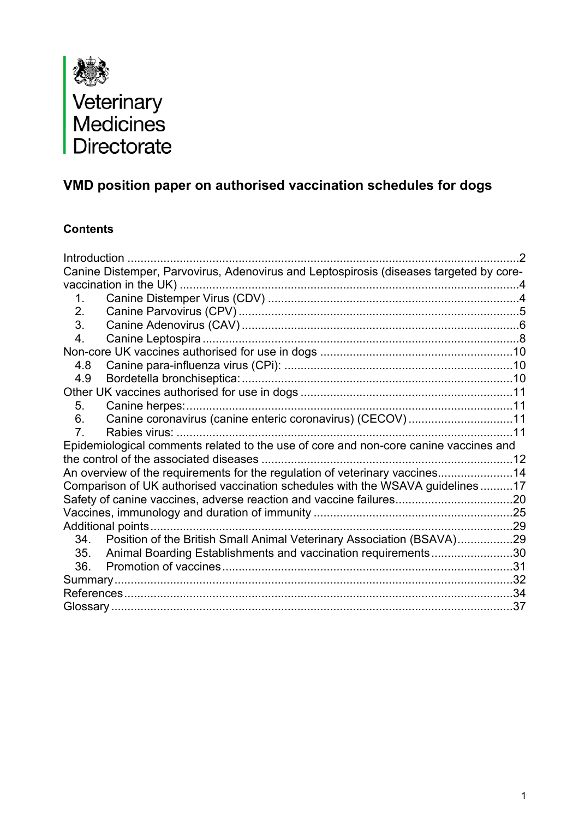

# **VMD position paper on authorised vaccination schedules for dogs**

### **Contents**

| Introduction                                                                           |  |  |
|----------------------------------------------------------------------------------------|--|--|
| Canine Distemper, Parvovirus, Adenovirus and Leptospirosis (diseases targeted by core- |  |  |
| vaccination in the UK)                                                                 |  |  |
| 1.                                                                                     |  |  |
| 2.                                                                                     |  |  |
| 3.                                                                                     |  |  |
| 4.                                                                                     |  |  |
|                                                                                        |  |  |
| 4.8                                                                                    |  |  |
| 4.9                                                                                    |  |  |
|                                                                                        |  |  |
| 5 <sub>1</sub>                                                                         |  |  |
| Canine coronavirus (canine enteric coronavirus) (CECOV) 11<br>6.                       |  |  |
| $\overline{7}$ .                                                                       |  |  |
| Epidemiological comments related to the use of core and non-core canine vaccines and   |  |  |
| the control of the associated diseases                                                 |  |  |
| An overview of the requirements for the regulation of veterinary vaccines14            |  |  |
| Comparison of UK authorised vaccination schedules with the WSAVA guidelines17          |  |  |
|                                                                                        |  |  |
|                                                                                        |  |  |
| Additional points.<br>29                                                               |  |  |
| Position of the British Small Animal Veterinary Association (BSAVA)29<br>34.           |  |  |
| Animal Boarding Establishments and vaccination requirements30<br>35.                   |  |  |
| 36.                                                                                    |  |  |
|                                                                                        |  |  |
|                                                                                        |  |  |
|                                                                                        |  |  |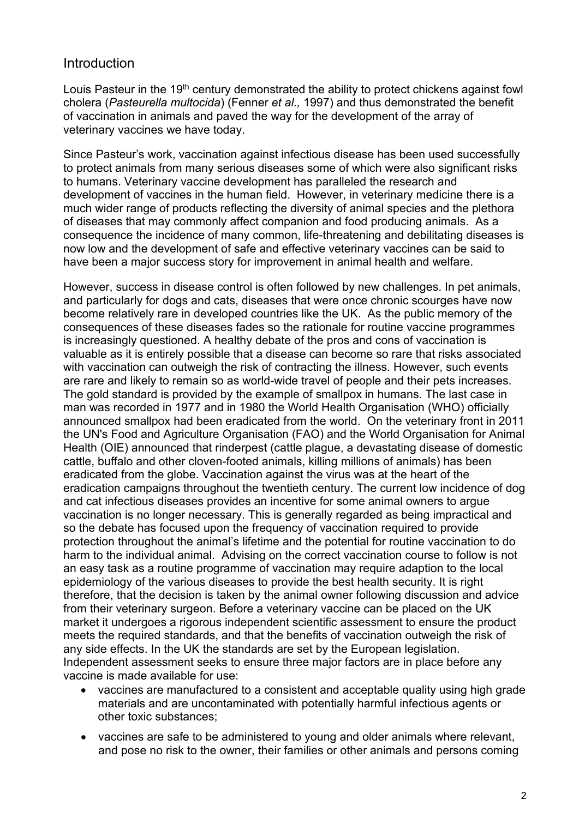## <span id="page-1-0"></span>Introduction

Louis Pasteur in the 19<sup>th</sup> century demonstrated the ability to protect chickens against fowl cholera (*Pasteurella multocida*) (Fenner *et al.,* 1997) and thus demonstrated the benefit of vaccination in animals and paved the way for the development of the array of veterinary vaccines we have today.

Since Pasteur's work, vaccination against infectious disease has been used successfully to protect animals from many serious diseases some of which were also significant risks to humans. Veterinary vaccine development has paralleled the research and development of vaccines in the human field. However, in veterinary medicine there is a much wider range of products reflecting the diversity of animal species and the plethora of diseases that may commonly affect companion and food producing animals. As a consequence the incidence of many common, life-threatening and debilitating diseases is now low and the development of safe and effective veterinary vaccines can be said to have been a major success story for improvement in animal health and welfare.

However, success in disease control is often followed by new challenges. In pet animals, and particularly for dogs and cats, diseases that were once chronic scourges have now become relatively rare in developed countries like the UK. As the public memory of the consequences of these diseases fades so the rationale for routine vaccine programmes is increasingly questioned. A healthy debate of the pros and cons of vaccination is valuable as it is entirely possible that a disease can become so rare that risks associated with vaccination can outweigh the risk of contracting the illness. However, such events are rare and likely to remain so as world-wide travel of people and their pets increases. The gold standard is provided by the example of smallpox in humans. The last case in man was recorded in 1977 and in 1980 the World Health Organisation (WHO) officially announced smallpox had been eradicated from the world. On the veterinary front in 2011 the UN's Food and Agriculture Organisation (FAO) and the World Organisation for Animal Health (OIE) announced that rinderpest (cattle plague, a devastating disease of domestic cattle, buffalo and other cloven-footed animals, killing millions of animals) has been eradicated from the globe. Vaccination against the virus was at the heart of the eradication campaigns throughout the twentieth century. The current low incidence of dog and cat infectious diseases provides an incentive for some animal owners to argue vaccination is no longer necessary. This is generally regarded as being impractical and so the debate has focused upon the frequency of vaccination required to provide protection throughout the animal's lifetime and the potential for routine vaccination to do harm to the individual animal. Advising on the correct vaccination course to follow is not an easy task as a routine programme of vaccination may require adaption to the local epidemiology of the various diseases to provide the best health security. It is right therefore, that the decision is taken by the animal owner following discussion and advice from their veterinary surgeon. Before a veterinary vaccine can be placed on the UK market it undergoes a rigorous independent scientific assessment to ensure the product meets the required standards, and that the benefits of vaccination outweigh the risk of any side effects. In the UK the standards are set by the European legislation. Independent assessment seeks to ensure three major factors are in place before any vaccine is made available for use:

- vaccines are manufactured to a consistent and acceptable quality using high grade materials and are uncontaminated with potentially harmful infectious agents or other toxic substances;
- vaccines are safe to be administered to young and older animals where relevant, and pose no risk to the owner, their families or other animals and persons coming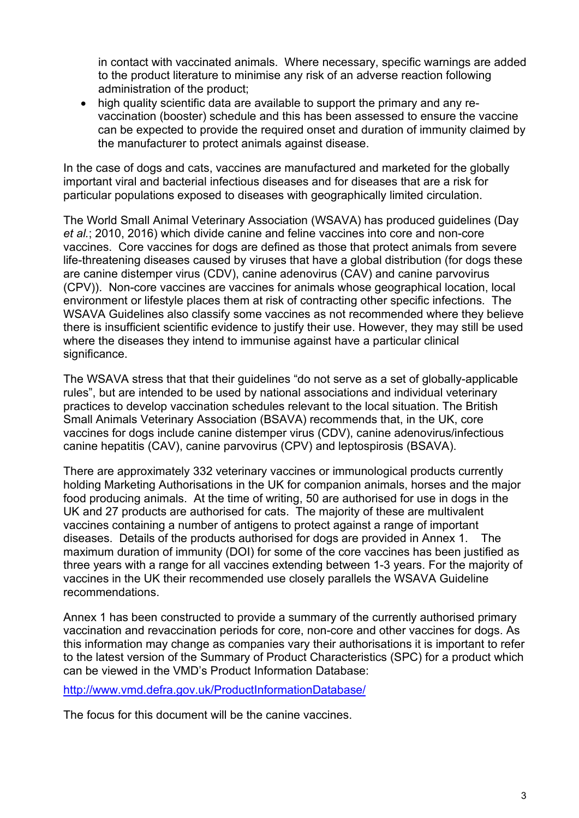in contact with vaccinated animals. Where necessary, specific warnings are added to the product literature to minimise any risk of an adverse reaction following administration of the product;

• high quality scientific data are available to support the primary and any revaccination (booster) schedule and this has been assessed to ensure the vaccine can be expected to provide the required onset and duration of immunity claimed by the manufacturer to protect animals against disease.

In the case of dogs and cats, vaccines are manufactured and marketed for the globally important viral and bacterial infectious diseases and for diseases that are a risk for particular populations exposed to diseases with geographically limited circulation.

The World Small Animal Veterinary Association (WSAVA) has produced guidelines (Day *et al.*; 2010, 2016) which divide canine and feline vaccines into core and non-core vaccines. Core vaccines for dogs are defined as those that protect animals from severe life-threatening diseases caused by viruses that have a global distribution (for dogs these are canine distemper virus (CDV), canine adenovirus (CAV) and canine parvovirus (CPV)). Non-core vaccines are vaccines for animals whose geographical location, local environment or lifestyle places them at risk of contracting other specific infections. The WSAVA Guidelines also classify some vaccines as not recommended where they believe there is insufficient scientific evidence to justify their use. However, they may still be used where the diseases they intend to immunise against have a particular clinical significance.

The WSAVA stress that that their guidelines "do not serve as a set of globally-applicable rules", but are intended to be used by national associations and individual veterinary practices to develop vaccination schedules relevant to the local situation. The British Small Animals Veterinary Association (BSAVA) recommends that, in the UK, core vaccines for dogs include canine distemper virus (CDV), canine adenovirus/infectious canine hepatitis (CAV), canine parvovirus (CPV) and leptospirosis (BSAVA).

There are approximately 332 veterinary vaccines or immunological products currently holding Marketing Authorisations in the UK for companion animals, horses and the major food producing animals. At the time of writing, 50 are authorised for use in dogs in the UK and 27 products are authorised for cats. The majority of these are multivalent vaccines containing a number of antigens to protect against a range of important diseases. Details of the products authorised for dogs are provided in Annex 1. The maximum duration of immunity (DOI) for some of the core vaccines has been justified as three years with a range for all vaccines extending between 1-3 years. For the majority of vaccines in the UK their recommended use closely parallels the WSAVA Guideline recommendations.

Annex 1 has been constructed to provide a summary of the currently authorised primary vaccination and revaccination periods for core, non-core and other vaccines for dogs. As this information may change as companies vary their authorisations it is important to refer to the latest version of the Summary of Product Characteristics (SPC) for a product which can be viewed in the VMD's Product Information Database:

<http://www.vmd.defra.gov.uk/ProductInformationDatabase/>

The focus for this document will be the canine vaccines.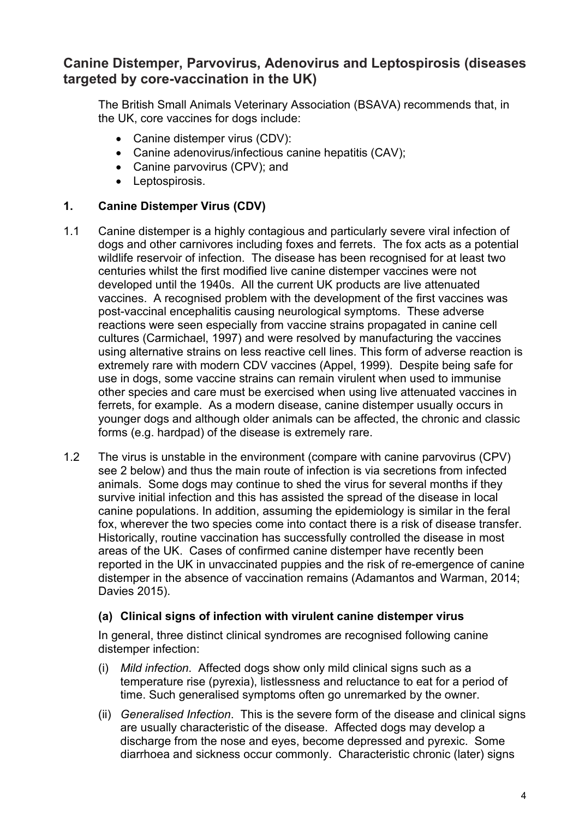## <span id="page-3-0"></span>**Canine Distemper, Parvovirus, Adenovirus and Leptospirosis (diseases targeted by core-vaccination in the UK)**

The British Small Animals Veterinary Association (BSAVA) recommends that, in the UK, core vaccines for dogs include:

- Canine distemper virus (CDV):
- Canine adenovirus/infectious canine hepatitis (CAV);
- Canine parvovirus (CPV): and
- Leptospirosis.

#### <span id="page-3-1"></span>**1. Canine Distemper Virus (CDV)**

- 1.1 Canine distemper is a highly contagious and particularly severe viral infection of dogs and other carnivores including foxes and ferrets. The fox acts as a potential wildlife reservoir of infection. The disease has been recognised for at least two centuries whilst the first modified live canine distemper vaccines were not developed until the 1940s. All the current UK products are live attenuated vaccines. A recognised problem with the development of the first vaccines was post-vaccinal encephalitis causing neurological symptoms. These adverse reactions were seen especially from vaccine strains propagated in canine cell cultures (Carmichael, 1997) and were resolved by manufacturing the vaccines using alternative strains on less reactive cell lines. This form of adverse reaction is extremely rare with modern CDV vaccines (Appel, 1999). Despite being safe for use in dogs, some vaccine strains can remain virulent when used to immunise other species and care must be exercised when using live attenuated vaccines in ferrets, for example. As a modern disease, canine distemper usually occurs in younger dogs and although older animals can be affected, the chronic and classic forms (e.g. hardpad) of the disease is extremely rare.
- 1.2 The virus is unstable in the environment (compare with canine parvovirus (CPV) see 2 below) and thus the main route of infection is via secretions from infected animals. Some dogs may continue to shed the virus for several months if they survive initial infection and this has assisted the spread of the disease in local canine populations. In addition, assuming the epidemiology is similar in the feral fox, wherever the two species come into contact there is a risk of disease transfer. Historically, routine vaccination has successfully controlled the disease in most areas of the UK. Cases of confirmed canine distemper have recently been reported in the UK in unvaccinated puppies and the risk of re-emergence of canine distemper in the absence of vaccination remains (Adamantos and Warman, 2014; Davies 2015).

#### **(a) Clinical signs of infection with virulent canine distemper virus**

In general, three distinct clinical syndromes are recognised following canine distemper infection:

- (i) *Mild infection*. Affected dogs show only mild clinical signs such as a temperature rise (pyrexia), listlessness and reluctance to eat for a period of time. Such generalised symptoms often go unremarked by the owner.
- (ii) *Generalised Infection*. This is the severe form of the disease and clinical signs are usually characteristic of the disease. Affected dogs may develop a discharge from the nose and eyes, become depressed and pyrexic. Some diarrhoea and sickness occur commonly. Characteristic chronic (later) signs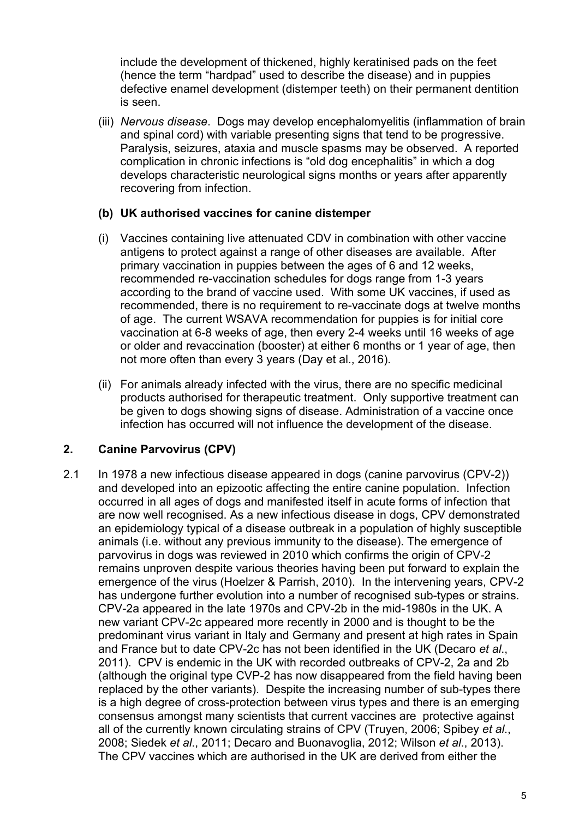include the development of thickened, highly keratinised pads on the feet (hence the term "hardpad" used to describe the disease) and in puppies defective enamel development (distemper teeth) on their permanent dentition is seen.

(iii) *Nervous disease*. Dogs may develop encephalomyelitis (inflammation of brain and spinal cord) with variable presenting signs that tend to be progressive. Paralysis, seizures, ataxia and muscle spasms may be observed. A reported complication in chronic infections is "old dog encephalitis" in which a dog develops characteristic neurological signs months or years after apparently recovering from infection.

#### **(b) UK authorised vaccines for canine distemper**

- (i) Vaccines containing live attenuated CDV in combination with other vaccine antigens to protect against a range of other diseases are available. After primary vaccination in puppies between the ages of 6 and 12 weeks, recommended re-vaccination schedules for dogs range from 1-3 years according to the brand of vaccine used. With some UK vaccines, if used as recommended, there is no requirement to re-vaccinate dogs at twelve months of age. The current WSAVA recommendation for puppies is for initial core vaccination at 6-8 weeks of age, then every 2-4 weeks until 16 weeks of age or older and revaccination (booster) at either 6 months or 1 year of age, then not more often than every 3 years (Day et al., 2016).
- (ii) For animals already infected with the virus, there are no specific medicinal products authorised for therapeutic treatment. Only supportive treatment can be given to dogs showing signs of disease. Administration of a vaccine once infection has occurred will not influence the development of the disease.

## <span id="page-4-0"></span>**2. Canine Parvovirus (CPV)**

2.1 In 1978 a new infectious disease appeared in dogs (canine parvovirus (CPV-2)) and developed into an epizootic affecting the entire canine population. Infection occurred in all ages of dogs and manifested itself in acute forms of infection that are now well recognised. As a new infectious disease in dogs, CPV demonstrated an epidemiology typical of a disease outbreak in a population of highly susceptible animals (i.e. without any previous immunity to the disease). The emergence of parvovirus in dogs was reviewed in 2010 which confirms the origin of CPV-2 remains unproven despite various theories having been put forward to explain the emergence of the virus (Hoelzer & Parrish, 2010). In the intervening years, CPV-2 has undergone further evolution into a number of recognised sub-types or strains. CPV-2a appeared in the late 1970s and CPV-2b in the mid-1980s in the UK. A new variant CPV-2c appeared more recently in 2000 and is thought to be the predominant virus variant in Italy and Germany and present at high rates in Spain and France but to date CPV-2c has not been identified in the UK (Decaro *et al*., 2011). CPV is endemic in the UK with recorded outbreaks of CPV-2, 2a and 2b (although the original type CVP-2 has now disappeared from the field having been replaced by the other variants). Despite the increasing number of sub-types there is a high degree of cross-protection between virus types and there is an emerging consensus amongst many scientists that current vaccines are protective against all of the currently known circulating strains of CPV (Truyen, 2006; Spibey *et al*., 2008; Siedek *et al*., 2011; Decaro and Buonavoglia, 2012; Wilson *et al*., 2013). The CPV vaccines which are authorised in the UK are derived from either the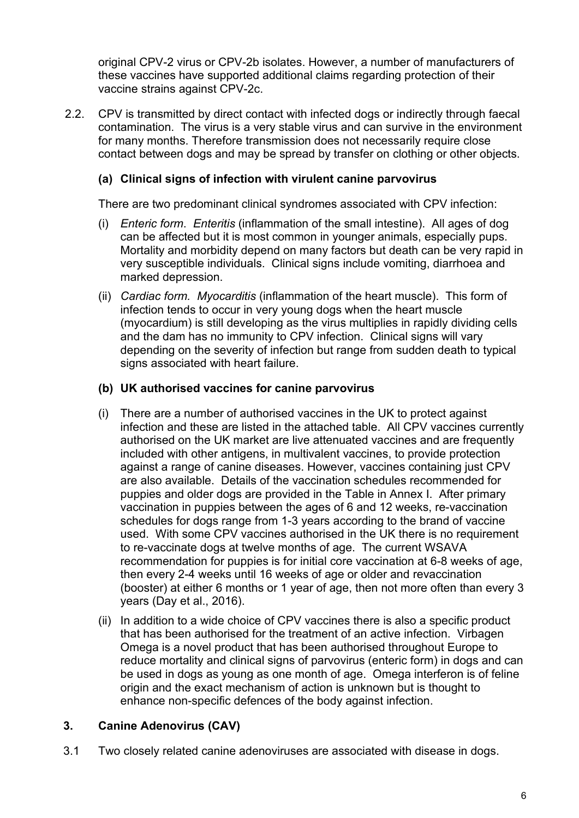original CPV-2 virus or CPV-2b isolates. However, a number of manufacturers of these vaccines have supported additional claims regarding protection of their vaccine strains against CPV-2c.

2.2. CPV is transmitted by direct contact with infected dogs or indirectly through faecal contamination. The virus is a very stable virus and can survive in the environment for many months. Therefore transmission does not necessarily require close contact between dogs and may be spread by transfer on clothing or other objects.

#### **(a) Clinical signs of infection with virulent canine parvovirus**

There are two predominant clinical syndromes associated with CPV infection:

- (i) *Enteric form*. *Enteritis* (inflammation of the small intestine). All ages of dog can be affected but it is most common in younger animals, especially pups. Mortality and morbidity depend on many factors but death can be very rapid in very susceptible individuals. Clinical signs include vomiting, diarrhoea and marked depression.
- (ii) *Cardiac form. Myocarditis* (inflammation of the heart muscle). This form of infection tends to occur in very young dogs when the heart muscle (myocardium) is still developing as the virus multiplies in rapidly dividing cells and the dam has no immunity to CPV infection. Clinical signs will vary depending on the severity of infection but range from sudden death to typical signs associated with heart failure.

#### **(b) UK authorised vaccines for canine parvovirus**

- (i) There are a number of authorised vaccines in the UK to protect against infection and these are listed in the attached table. All CPV vaccines currently authorised on the UK market are live attenuated vaccines and are frequently included with other antigens, in multivalent vaccines, to provide protection against a range of canine diseases. However, vaccines containing just CPV are also available. Details of the vaccination schedules recommended for puppies and older dogs are provided in the Table in Annex I. After primary vaccination in puppies between the ages of 6 and 12 weeks, re-vaccination schedules for dogs range from 1-3 years according to the brand of vaccine used. With some CPV vaccines authorised in the UK there is no requirement to re-vaccinate dogs at twelve months of age. The current WSAVA recommendation for puppies is for initial core vaccination at 6-8 weeks of age, then every 2-4 weeks until 16 weeks of age or older and revaccination (booster) at either 6 months or 1 year of age, then not more often than every 3 years (Day et al., 2016).
- (ii) In addition to a wide choice of CPV vaccines there is also a specific product that has been authorised for the treatment of an active infection. Virbagen Omega is a novel product that has been authorised throughout Europe to reduce mortality and clinical signs of parvovirus (enteric form) in dogs and can be used in dogs as young as one month of age. Omega interferon is of feline origin and the exact mechanism of action is unknown but is thought to enhance non-specific defences of the body against infection.

#### <span id="page-5-0"></span>**3. Canine Adenovirus (CAV)**

3.1 Two closely related canine adenoviruses are associated with disease in dogs.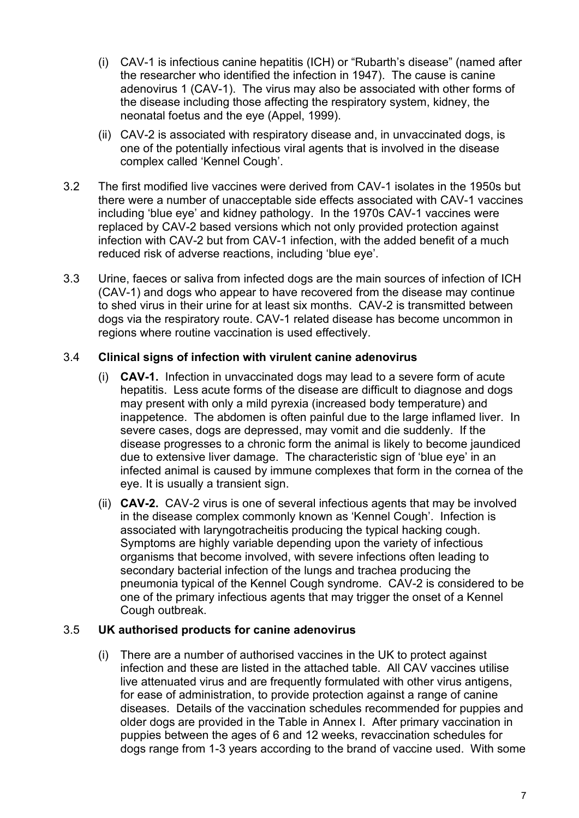- (i) CAV-1 is infectious canine hepatitis (ICH) or "Rubarth's disease" (named after the researcher who identified the infection in 1947). The cause is canine adenovirus 1 (CAV-1). The virus may also be associated with other forms of the disease including those affecting the respiratory system, kidney, the neonatal foetus and the eye (Appel, 1999).
- (ii) CAV-2 is associated with respiratory disease and, in unvaccinated dogs, is one of the potentially infectious viral agents that is involved in the disease complex called 'Kennel Cough'.
- 3.2 The first modified live vaccines were derived from CAV-1 isolates in the 1950s but there were a number of unacceptable side effects associated with CAV-1 vaccines including 'blue eye' and kidney pathology. In the 1970s CAV-1 vaccines were replaced by CAV-2 based versions which not only provided protection against infection with CAV-2 but from CAV-1 infection, with the added benefit of a much reduced risk of adverse reactions, including 'blue eye'.
- 3.3 Urine, faeces or saliva from infected dogs are the main sources of infection of ICH (CAV-1) and dogs who appear to have recovered from the disease may continue to shed virus in their urine for at least six months. CAV-2 is transmitted between dogs via the respiratory route. CAV-1 related disease has become uncommon in regions where routine vaccination is used effectively.

#### 3.4 **Clinical signs of infection with virulent canine adenovirus**

- (i) **CAV-1.** Infection in unvaccinated dogs may lead to a severe form of acute hepatitis. Less acute forms of the disease are difficult to diagnose and dogs may present with only a mild pyrexia (increased body temperature) and inappetence. The abdomen is often painful due to the large inflamed liver. In severe cases, dogs are depressed, may vomit and die suddenly. If the disease progresses to a chronic form the animal is likely to become jaundiced due to extensive liver damage. The characteristic sign of 'blue eye' in an infected animal is caused by immune complexes that form in the cornea of the eye. It is usually a transient sign.
- (ii) **CAV-2.** CAV-2 virus is one of several infectious agents that may be involved in the disease complex commonly known as 'Kennel Cough'.Infection is associated with laryngotracheitis producing the typical hacking cough. Symptoms are highly variable depending upon the variety of infectious organisms that become involved, with severe infections often leading to secondary bacterial infection of the lungs and trachea producing the pneumonia typical of the Kennel Cough syndrome. CAV-2 is considered to be one of the primary infectious agents that may trigger the onset of a Kennel Cough outbreak.

#### 3.5 **UK authorised products for canine adenovirus**

(i) There are a number of authorised vaccines in the UK to protect against infection and these are listed in the attached table. All CAV vaccines utilise live attenuated virus and are frequently formulated with other virus antigens, for ease of administration, to provide protection against a range of canine diseases. Details of the vaccination schedules recommended for puppies and older dogs are provided in the Table in Annex I. After primary vaccination in puppies between the ages of 6 and 12 weeks, revaccination schedules for dogs range from 1-3 years according to the brand of vaccine used. With some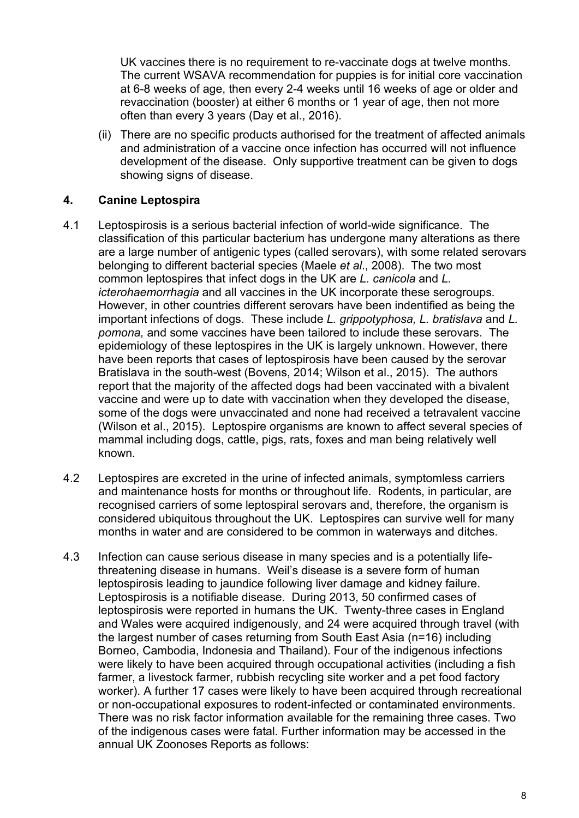UK vaccines there is no requirement to re-vaccinate dogs at twelve months. The current WSAVA recommendation for puppies is for initial core vaccination at 6-8 weeks of age, then every 2-4 weeks until 16 weeks of age or older and revaccination (booster) at either 6 months or 1 year of age, then not more often than every 3 years (Day et al., 2016).

(ii) There are no specific products authorised for the treatment of affected animals and administration of a vaccine once infection has occurred will not influence development of the disease. Only supportive treatment can be given to dogs showing signs of disease.

#### <span id="page-7-0"></span>**4. Canine Leptospira**

- 4.1 Leptospirosis is a serious bacterial infection of world-wide significance. The classification of this particular bacterium has undergone many alterations as there are a large number of antigenic types (called serovars), with some related serovars belonging to different bacterial species (Maele *et al*., 2008). The two most common leptospires that infect dogs in the UK are *L. canicola* and *L. icterohaemorrhagia* and all vaccines in the UK incorporate these serogroups. However, in other countries different serovars have been indentified as being the important infections of dogs. These include *L. grippotyphosa, L. bratislava* and *L. pomona,* and some vaccines have been tailored to include these serovars. The epidemiology of these leptospires in the UK is largely unknown. However, there have been reports that cases of leptospirosis have been caused by the serovar Bratislava in the south-west (Bovens, 2014; Wilson et al., 2015). The authors report that the majority of the affected dogs had been vaccinated with a bivalent vaccine and were up to date with vaccination when they developed the disease, some of the dogs were unvaccinated and none had received a tetravalent vaccine (Wilson et al., 2015). Leptospire organisms are known to affect several species of mammal including dogs, cattle, pigs, rats, foxes and man being relatively well known.
- 4.2 Leptospires are excreted in the urine of infected animals, symptomless carriers and maintenance hosts for months or throughout life. Rodents, in particular, are recognised carriers of some leptospiral serovars and, therefore, the organism is considered ubiquitous throughout the UK. Leptospires can survive well for many months in water and are considered to be common in waterways and ditches.
- 4.3 Infection can cause serious disease in many species and is a potentially lifethreatening disease in humans. Weil's disease is a severe form of human leptospirosis leading to jaundice following liver damage and kidney failure. Leptospirosis is a notifiable disease. During 2013, 50 confirmed cases of leptospirosis were reported in humans the UK. Twenty-three cases in England and Wales were acquired indigenously, and 24 were acquired through travel (with the largest number of cases returning from South East Asia (n=16) including Borneo, Cambodia, Indonesia and Thailand). Four of the indigenous infections were likely to have been acquired through occupational activities (including a fish farmer, a livestock farmer, rubbish recycling site worker and a pet food factory worker). A further 17 cases were likely to have been acquired through recreational or non-occupational exposures to rodent-infected or contaminated environments. There was no risk factor information available for the remaining three cases. Two of the indigenous cases were fatal. Further information may be accessed in the annual UK Zoonoses Reports as follows: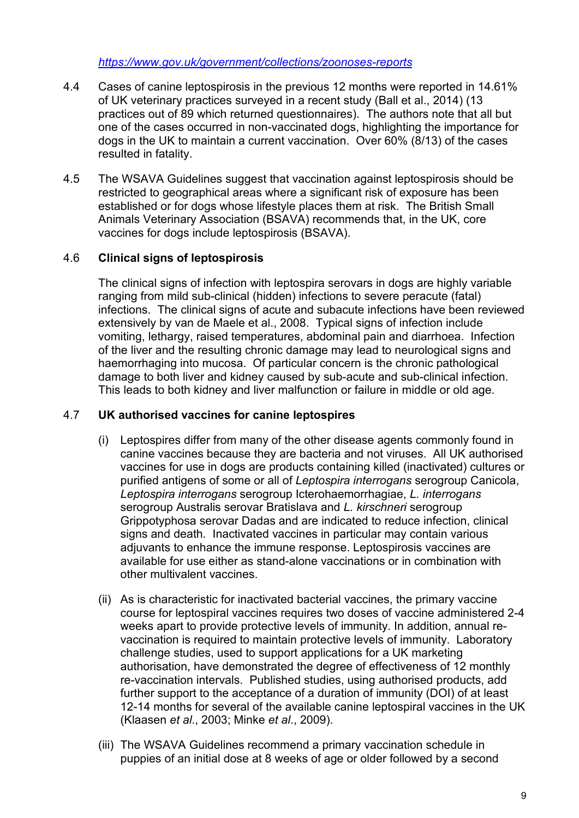*<https://www.gov.uk/government/collections/zoonoses-reports>*

- 4.4 Cases of canine leptospirosis in the previous 12 months were reported in 14.61% of UK veterinary practices surveyed in a recent study (Ball et al., 2014) (13 practices out of 89 which returned questionnaires). The authors note that all but one of the cases occurred in non-vaccinated dogs, highlighting the importance for dogs in the UK to maintain a current vaccination. Over 60% (8/13) of the cases resulted in fatality.
- 4.5 The WSAVA Guidelines suggest that vaccination against leptospirosis should be restricted to geographical areas where a significant risk of exposure has been established or for dogs whose lifestyle places them at risk. The British Small Animals Veterinary Association (BSAVA) recommends that, in the UK, core vaccines for dogs include leptospirosis (BSAVA).

### 4.6 **Clinical signs of leptospirosis**

The clinical signs of infection with leptospira serovars in dogs are highly variable ranging from mild sub-clinical (hidden) infections to severe peracute (fatal) infections. The clinical signs of acute and subacute infections have been reviewed extensively by van de Maele et al., 2008. Typical signs of infection include vomiting, lethargy, raised temperatures, abdominal pain and diarrhoea. Infection of the liver and the resulting chronic damage may lead to neurological signs and haemorrhaging into mucosa. Of particular concern is the chronic pathological damage to both liver and kidney caused by sub-acute and sub-clinical infection. This leads to both kidney and liver malfunction or failure in middle or old age.

### 4.7 **UK authorised vaccines for canine leptospires**

- (i) Leptospires differ from many of the other disease agents commonly found in canine vaccines because they are bacteria and not viruses. All UK authorised vaccines for use in dogs are products containing killed (inactivated) cultures or purified antigens of some or all of *Leptospira interrogans* serogroup Canicola, *Leptospira interrogans* serogroup Icterohaemorrhagiae, *L. interrogans* serogroup Australis serovar Bratislava and *L. kirschneri* serogroup Grippotyphosa serovar Dadas and are indicated to reduce infection, clinical signs and death*.* Inactivated vaccines in particular may contain various adjuvants to enhance the immune response. Leptospirosis vaccines are available for use either as stand-alone vaccinations or in combination with other multivalent vaccines.
- (ii) As is characteristic for inactivated bacterial vaccines, the primary vaccine course for leptospiral vaccines requires two doses of vaccine administered 2-4 weeks apart to provide protective levels of immunity. In addition, annual revaccination is required to maintain protective levels of immunity. Laboratory challenge studies, used to support applications for a UK marketing authorisation, have demonstrated the degree of effectiveness of 12 monthly re-vaccination intervals. Published studies, using authorised products, add further support to the acceptance of a duration of immunity (DOI) of at least 12-14 months for several of the available canine leptospiral vaccines in the UK (Klaasen *et al*., 2003; Minke *et al*., 2009).
- (iii) The WSAVA Guidelines recommend a primary vaccination schedule in puppies of an initial dose at 8 weeks of age or older followed by a second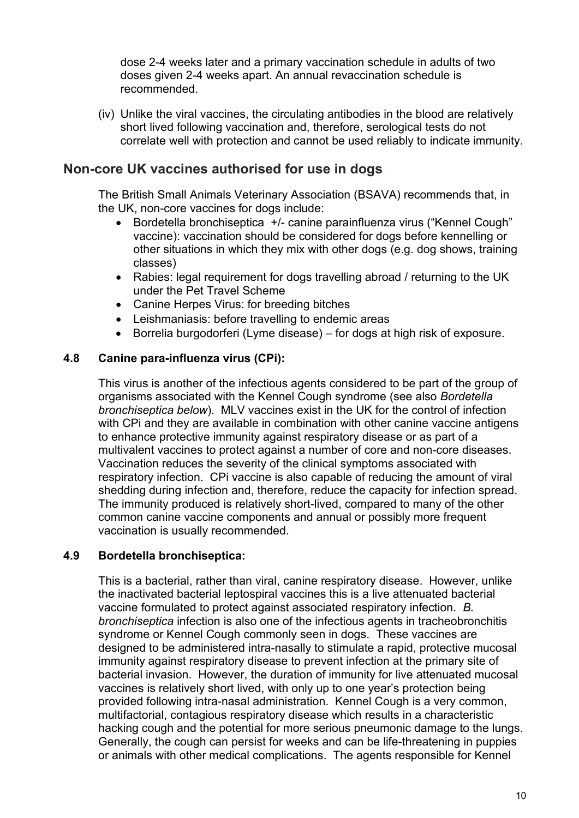dose 2-4 weeks later and a primary vaccination schedule in adults of two doses given 2-4 weeks apart. An annual revaccination schedule is recommended.

(iv) Unlike the viral vaccines, the circulating antibodies in the blood are relatively short lived following vaccination and, therefore, serological tests do not correlate well with protection and cannot be used reliably to indicate immunity.

## <span id="page-9-0"></span>**Non-core UK vaccines authorised for use in dogs**

The British Small Animals Veterinary Association (BSAVA) recommends that, in the UK, non-core vaccines for dogs include:

- Bordetella bronchiseptica +/- canine parainfluenza virus ("Kennel Cough" vaccine): vaccination should be considered for dogs before kennelling or other situations in which they mix with other dogs (e.g. dog shows, training classes)
- Rabies: legal requirement for dogs travelling abroad / returning to the UK under the Pet Travel Scheme
- Canine Herpes Virus: for breeding bitches
- Leishmaniasis: before travelling to endemic areas
- Borrelia burgodorferi (Lyme disease) for dogs at high risk of exposure.

#### <span id="page-9-1"></span>**4.8 Canine para-influenza virus (CPi):**

This virus is another of the infectious agents considered to be part of the group of organisms associated with the Kennel Cough syndrome (see also *Bordetella bronchiseptica below*). MLV vaccines exist in the UK for the control of infection with CPi and they are available in combination with other canine vaccine antigens to enhance protective immunity against respiratory disease or as part of a multivalent vaccines to protect against a number of core and non-core diseases. Vaccination reduces the severity of the clinical symptoms associated with respiratory infection. CPi vaccine is also capable of reducing the amount of viral shedding during infection and, therefore, reduce the capacity for infection spread. The immunity produced is relatively short-lived, compared to many of the other common canine vaccine components and annual or possibly more frequent vaccination is usually recommended.

#### <span id="page-9-2"></span>**4.9 Bordetella bronchiseptica:**

This is a bacterial, rather than viral, canine respiratory disease. However, unlike the inactivated bacterial leptospiral vaccines this is a live attenuated bacterial vaccine formulated to protect against associated respiratory infection. *B. bronchiseptica* infection is also one of the infectious agents in tracheobronchitis syndrome or Kennel Cough commonly seen in dogs. These vaccines are designed to be administered intra-nasally to stimulate a rapid, protective mucosal immunity against respiratory disease to prevent infection at the primary site of bacterial invasion. However, the duration of immunity for live attenuated mucosal vaccines is relatively short lived, with only up to one year's protection being provided following intra-nasal administration. Kennel Cough is a very common, multifactorial, contagious respiratory disease which results in a characteristic hacking cough and the potential for more serious pneumonic damage to the lungs. Generally, the cough can persist for weeks and can be life-threatening in puppies or animals with other medical complications. The agents responsible for Kennel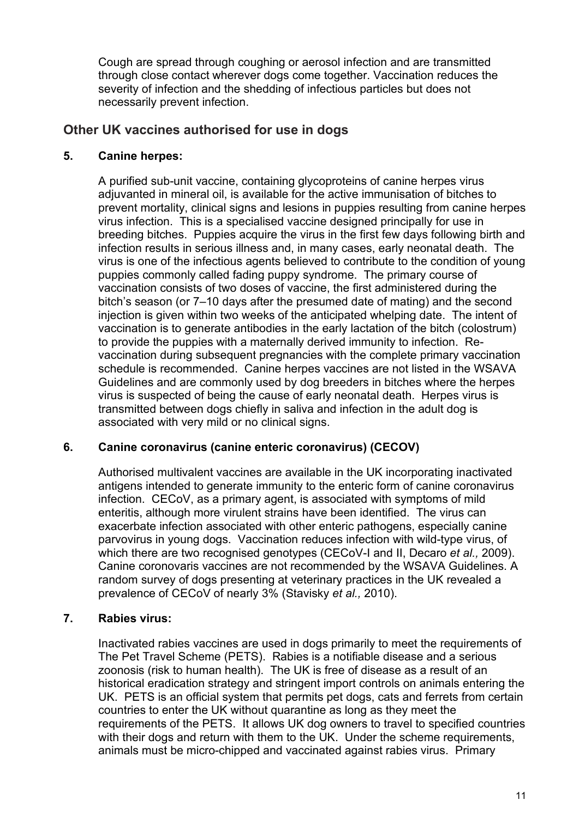Cough are spread through coughing or aerosol infection and are transmitted through close contact wherever dogs come together. Vaccination reduces the severity of infection and the shedding of infectious particles but does not necessarily prevent infection.

## <span id="page-10-0"></span>**Other UK vaccines authorised for use in dogs**

### <span id="page-10-1"></span>**5. Canine herpes:**

A purified sub-unit vaccine, containing glycoproteins of canine herpes virus adjuvanted in mineral oil, is available for the active immunisation of bitches to prevent mortality, clinical signs and lesions in puppies resulting from canine herpes virus infection. This is a specialised vaccine designed principally for use in breeding bitches. Puppies acquire the virus in the first few days following birth and infection results in serious illness and, in many cases, early neonatal death. The virus is one of the infectious agents believed to contribute to the condition of young puppies commonly called fading puppy syndrome. The primary course of vaccination consists of two doses of vaccine, the first administered during the bitch's season (or 7–10 days after the presumed date of mating) and the second injection is given within two weeks of the anticipated whelping date. The intent of vaccination is to generate antibodies in the early lactation of the bitch (colostrum) to provide the puppies with a maternally derived immunity to infection. Revaccination during subsequent pregnancies with the complete primary vaccination schedule is recommended. Canine herpes vaccines are not listed in the WSAVA Guidelines and are commonly used by dog breeders in bitches where the herpes virus is suspected of being the cause of early neonatal death. Herpes virus is transmitted between dogs chiefly in saliva and infection in the adult dog is associated with very mild or no clinical signs.

#### <span id="page-10-2"></span>**6. Canine coronavirus (canine enteric coronavirus) (CECOV)**

Authorised multivalent vaccines are available in the UK incorporating inactivated antigens intended to generate immunity to the enteric form of canine coronavirus infection. CECoV, as a primary agent, is associated with symptoms of mild enteritis, although more virulent strains have been identified. The virus can exacerbate infection associated with other enteric pathogens, especially canine parvovirus in young dogs. Vaccination reduces infection with wild-type virus, of which there are two recognised genotypes (CECoV-I and II, Decaro *et al.,* 2009). Canine coronovaris vaccines are not recommended by the WSAVA Guidelines. A random survey of dogs presenting at veterinary practices in the UK revealed a prevalence of CECoV of nearly 3% (Stavisky *et al.,* 2010).

#### <span id="page-10-3"></span>**7. Rabies virus:**

Inactivated rabies vaccines are used in dogs primarily to meet the requirements of The Pet Travel Scheme (PETS). Rabies is a notifiable disease and a serious zoonosis (risk to human health). The UK is free of disease as a result of an historical eradication strategy and stringent import controls on animals entering the UK. PETS is an official system that permits pet dogs, cats and ferrets from certain countries to enter the UK without quarantine as long as they meet the requirements of the PETS. It allows UK dog owners to travel to specified countries with their dogs and return with them to the UK. Under the scheme requirements, animals must be micro-chipped and vaccinated against rabies virus. Primary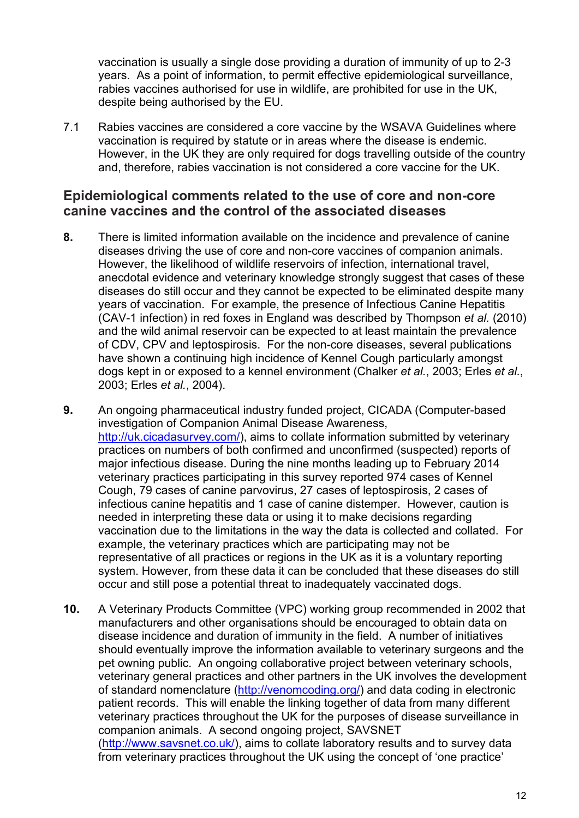vaccination is usually a single dose providing a duration of immunity of up to 2-3 years. As a point of information, to permit effective epidemiological surveillance, rabies vaccines authorised for use in wildlife, are prohibited for use in the UK, despite being authorised by the EU.

7.1 Rabies vaccines are considered a core vaccine by the WSAVA Guidelines where vaccination is required by statute or in areas where the disease is endemic. However, in the UK they are only required for dogs travelling outside of the country and, therefore, rabies vaccination is not considered a core vaccine for the UK.

## <span id="page-11-0"></span>**Epidemiological comments related to the use of core and non-core canine vaccines and the control of the associated diseases**

- **8.** There is limited information available on the incidence and prevalence of canine diseases driving the use of core and non-core vaccines of companion animals. However, the likelihood of wildlife reservoirs of infection, international travel, anecdotal evidence and veterinary knowledge strongly suggest that cases of these diseases do still occur and they cannot be expected to be eliminated despite many years of vaccination. For example, the presence of Infectious Canine Hepatitis (CAV-1 infection) in red foxes in England was described by Thompson *et al.* (2010) and the wild animal reservoir can be expected to at least maintain the prevalence of CDV, CPV and leptospirosis. For the non-core diseases, several publications have shown a continuing high incidence of Kennel Cough particularly amongst dogs kept in or exposed to a kennel environment (Chalker *et al.*, 2003; Erles *et al.*, 2003; Erles *et al.*, 2004).
- **9.** An ongoing pharmaceutical industry funded project, CICADA (Computer-based investigation of Companion Animal Disease Awareness, [http://uk.cicadasurvey.com/\)](http://uk.cicadasurvey.com/), aims to collate information submitted by veterinary practices on numbers of both confirmed and unconfirmed (suspected) reports of major infectious disease. During the nine months leading up to February 2014 veterinary practices participating in this survey reported 974 cases of Kennel Cough, 79 cases of canine parvovirus, 27 cases of leptospirosis, 2 cases of infectious canine hepatitis and 1 case of canine distemper. However, caution is needed in interpreting these data or using it to make decisions regarding vaccination due to the limitations in the way the data is collected and collated. For example, the veterinary practices which are participating may not be representative of all practices or regions in the UK as it is a voluntary reporting system. However, from these data it can be concluded that these diseases do still occur and still pose a potential threat to inadequately vaccinated dogs.
- **10.** A Veterinary Products Committee (VPC) working group recommended in 2002 that manufacturers and other organisations should be encouraged to obtain data on disease incidence and duration of immunity in the field. A number of initiatives should eventually improve the information available to veterinary surgeons and the pet owning public. An ongoing collaborative project between veterinary schools, veterinary general practices and other partners in the UK involves the development of standard nomenclature [\(http://venomcoding.org/\)](http://venomcoding.org/) and data coding in electronic patient records. This will enable the linking together of data from many different veterinary practices throughout the UK for the purposes of disease surveillance in companion animals. A second ongoing project, SAVSNET [\(http://www.savsnet.co.uk/\)](http://www.savsnet.co.uk/), aims to collate laboratory results and to survey data from veterinary practices throughout the UK using the concept of 'one practice'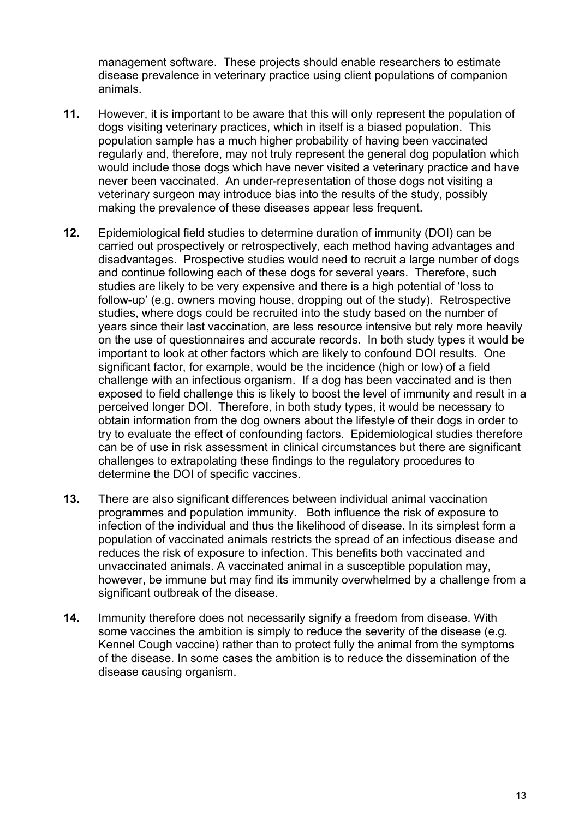management software. These projects should enable researchers to estimate disease prevalence in veterinary practice using client populations of companion animals.

- **11.** However, it is important to be aware that this will only represent the population of dogs visiting veterinary practices, which in itself is a biased population. This population sample has a much higher probability of having been vaccinated regularly and, therefore, may not truly represent the general dog population which would include those dogs which have never visited a veterinary practice and have never been vaccinated. An under-representation of those dogs not visiting a veterinary surgeon may introduce bias into the results of the study, possibly making the prevalence of these diseases appear less frequent.
- **12.** Epidemiological field studies to determine duration of immunity (DOI) can be carried out prospectively or retrospectively, each method having advantages and disadvantages. Prospective studies would need to recruit a large number of dogs and continue following each of these dogs for several years. Therefore, such studies are likely to be very expensive and there is a high potential of 'loss to follow-up' (e.g. owners moving house, dropping out of the study). Retrospective studies, where dogs could be recruited into the study based on the number of years since their last vaccination, are less resource intensive but rely more heavily on the use of questionnaires and accurate records. In both study types it would be important to look at other factors which are likely to confound DOI results. One significant factor, for example, would be the incidence (high or low) of a field challenge with an infectious organism. If a dog has been vaccinated and is then exposed to field challenge this is likely to boost the level of immunity and result in a perceived longer DOI. Therefore, in both study types, it would be necessary to obtain information from the dog owners about the lifestyle of their dogs in order to try to evaluate the effect of confounding factors. Epidemiological studies therefore can be of use in risk assessment in clinical circumstances but there are significant challenges to extrapolating these findings to the regulatory procedures to determine the DOI of specific vaccines.
- **13.** There are also significant differences between individual animal vaccination programmes and population immunity. Both influence the risk of exposure to infection of the individual and thus the likelihood of disease. In its simplest form a population of vaccinated animals restricts the spread of an infectious disease and reduces the risk of exposure to infection. This benefits both vaccinated and unvaccinated animals. A vaccinated animal in a susceptible population may, however, be immune but may find its immunity overwhelmed by a challenge from a significant outbreak of the disease.
- <span id="page-12-0"></span>**14.** Immunity therefore does not necessarily signify a freedom from disease. With some vaccines the ambition is simply to reduce the severity of the disease (e.g. Kennel Cough vaccine) rather than to protect fully the animal from the symptoms of the disease. In some cases the ambition is to reduce the dissemination of the disease causing organism.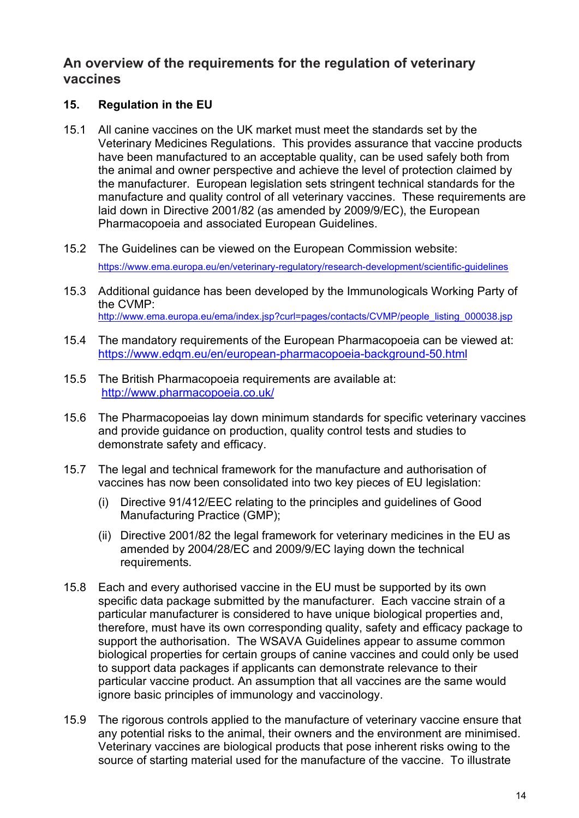## **An overview of the requirements for the regulation of veterinary vaccines**

### **15. Regulation in the EU**

- 15.1 All canine vaccines on the UK market must meet the standards set by the Veterinary Medicines Regulations. This provides assurance that vaccine products have been manufactured to an acceptable quality, can be used safely both from the animal and owner perspective and achieve the level of protection claimed by the manufacturer. European legislation sets stringent technical standards for the manufacture and quality control of all veterinary vaccines. These requirements are laid down in Directive 2001/82 (as amended by 2009/9/EC), the European Pharmacopoeia and associated European Guidelines.
- 15.2 The Guidelines can be viewed on the European Commission website: <https://www.ema.europa.eu/en/veterinary-regulatory/research-development/scientific-guidelines>
- 15.3 Additional guidance has been developed by the Immunologicals Working Party of the CVMP: [http://www.ema.europa.eu/ema/index.jsp?curl=pages/contacts/CVMP/people\\_listing\\_000038.jsp](http://www.ema.europa.eu/ema/index.jsp?curl=pages/contacts/CVMP/people_listing_000038.jsp)
- 15.4 The mandatory requirements of the European Pharmacopoeia can be viewed at: <https://www.edqm.eu/en/european-pharmacopoeia-background-50.html>
- 15.5 The British Pharmacopoeia requirements are available at: <http://www.pharmacopoeia.co.uk/>
- 15.6 The Pharmacopoeias lay down minimum standards for specific veterinary vaccines and provide guidance on production, quality control tests and studies to demonstrate safety and efficacy.
- 15.7 The legal and technical framework for the manufacture and authorisation of vaccines has now been consolidated into two key pieces of EU legislation:
	- (i) Directive 91/412/EEC relating to the principles and guidelines of Good Manufacturing Practice (GMP);
	- (ii) Directive 2001/82 the legal framework for veterinary medicines in the EU as amended by 2004/28/EC and 2009/9/EC laying down the technical requirements.
- 15.8 Each and every authorised vaccine in the EU must be supported by its own specific data package submitted by the manufacturer. Each vaccine strain of a particular manufacturer is considered to have unique biological properties and, therefore, must have its own corresponding quality, safety and efficacy package to support the authorisation. The WSAVA Guidelines appear to assume common biological properties for certain groups of canine vaccines and could only be used to support data packages if applicants can demonstrate relevance to their particular vaccine product. An assumption that all vaccines are the same would ignore basic principles of immunology and vaccinology.
- 15.9 The rigorous controls applied to the manufacture of veterinary vaccine ensure that any potential risks to the animal, their owners and the environment are minimised. Veterinary vaccines are biological products that pose inherent risks owing to the source of starting material used for the manufacture of the vaccine. To illustrate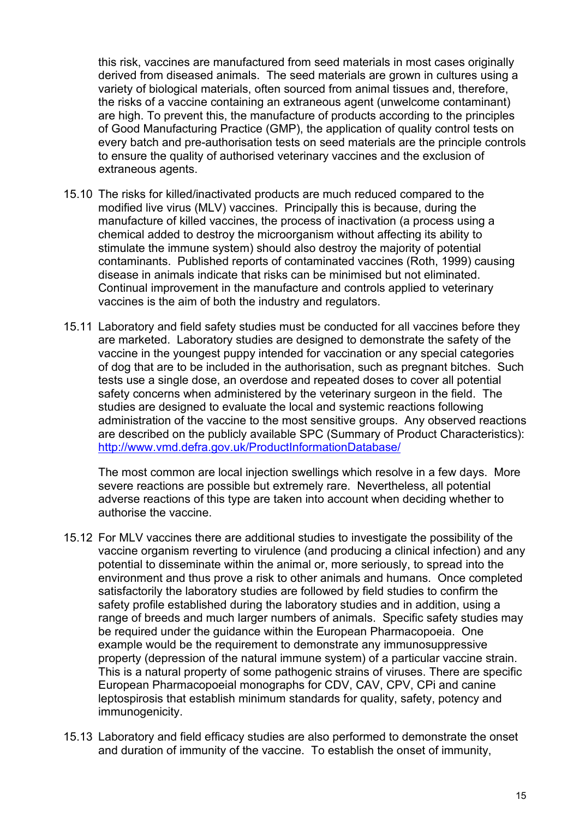this risk, vaccines are manufactured from seed materials in most cases originally derived from diseased animals. The seed materials are grown in cultures using a variety of biological materials, often sourced from animal tissues and, therefore, the risks of a vaccine containing an extraneous agent (unwelcome contaminant) are high. To prevent this, the manufacture of products according to the principles of Good Manufacturing Practice (GMP), the application of quality control tests on every batch and pre-authorisation tests on seed materials are the principle controls to ensure the quality of authorised veterinary vaccines and the exclusion of extraneous agents.

- 15.10 The risks for killed/inactivated products are much reduced compared to the modified live virus (MLV) vaccines. Principally this is because, during the manufacture of killed vaccines, the process of inactivation (a process using a chemical added to destroy the microorganism without affecting its ability to stimulate the immune system) should also destroy the majority of potential contaminants. Published reports of contaminated vaccines (Roth, 1999) causing disease in animals indicate that risks can be minimised but not eliminated. Continual improvement in the manufacture and controls applied to veterinary vaccines is the aim of both the industry and regulators.
- 15.11 Laboratory and field safety studies must be conducted for all vaccines before they are marketed. Laboratory studies are designed to demonstrate the safety of the vaccine in the youngest puppy intended for vaccination or any special categories of dog that are to be included in the authorisation, such as pregnant bitches. Such tests use a single dose, an overdose and repeated doses to cover all potential safety concerns when administered by the veterinary surgeon in the field. The studies are designed to evaluate the local and systemic reactions following administration of the vaccine to the most sensitive groups. Any observed reactions are described on the publicly available SPC (Summary of Product Characteristics): <http://www.vmd.defra.gov.uk/ProductInformationDatabase/>

The most common are local injection swellings which resolve in a few days. More severe reactions are possible but extremely rare. Nevertheless, all potential adverse reactions of this type are taken into account when deciding whether to authorise the vaccine.

- 15.12 For MLV vaccines there are additional studies to investigate the possibility of the vaccine organism reverting to virulence (and producing a clinical infection) and any potential to disseminate within the animal or, more seriously, to spread into the environment and thus prove a risk to other animals and humans. Once completed satisfactorily the laboratory studies are followed by field studies to confirm the safety profile established during the laboratory studies and in addition, using a range of breeds and much larger numbers of animals. Specific safety studies may be required under the guidance within the European Pharmacopoeia. One example would be the requirement to demonstrate any immunosuppressive property (depression of the natural immune system) of a particular vaccine strain. This is a natural property of some pathogenic strains of viruses. There are specific European Pharmacopoeial monographs for CDV, CAV, CPV, CPi and canine leptospirosis that establish minimum standards for quality, safety, potency and immunogenicity.
- 15.13 Laboratory and field efficacy studies are also performed to demonstrate the onset and duration of immunity of the vaccine. To establish the onset of immunity,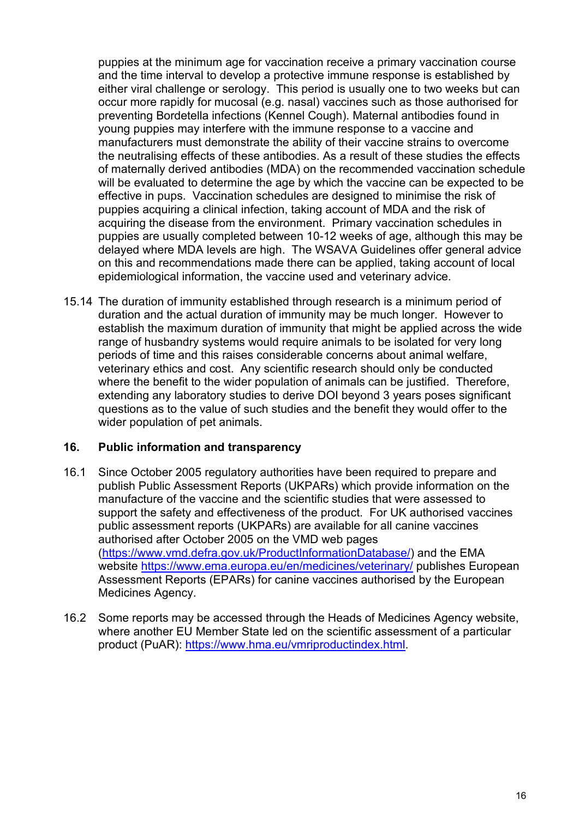puppies at the minimum age for vaccination receive a primary vaccination course and the time interval to develop a protective immune response is established by either viral challenge or serology. This period is usually one to two weeks but can occur more rapidly for mucosal (e.g. nasal) vaccines such as those authorised for preventing Bordetella infections (Kennel Cough). Maternal antibodies found in young puppies may interfere with the immune response to a vaccine and manufacturers must demonstrate the ability of their vaccine strains to overcome the neutralising effects of these antibodies. As a result of these studies the effects of maternally derived antibodies (MDA) on the recommended vaccination schedule will be evaluated to determine the age by which the vaccine can be expected to be effective in pups. Vaccination schedules are designed to minimise the risk of puppies acquiring a clinical infection, taking account of MDA and the risk of acquiring the disease from the environment. Primary vaccination schedules in puppies are usually completed between 10-12 weeks of age, although this may be delayed where MDA levels are high. The WSAVA Guidelines offer general advice on this and recommendations made there can be applied, taking account of local epidemiological information, the vaccine used and veterinary advice.

15.14 The duration of immunity established through research is a minimum period of duration and the actual duration of immunity may be much longer. However to establish the maximum duration of immunity that might be applied across the wide range of husbandry systems would require animals to be isolated for very long periods of time and this raises considerable concerns about animal welfare, veterinary ethics and cost. Any scientific research should only be conducted where the benefit to the wider population of animals can be justified. Therefore, extending any laboratory studies to derive DOI beyond 3 years poses significant questions as to the value of such studies and the benefit they would offer to the wider population of pet animals.

#### **16. Public information and transparency**

- 16.1 Since October 2005 regulatory authorities have been required to prepare and publish Public Assessment Reports (UKPARs) which provide information on the manufacture of the vaccine and the scientific studies that were assessed to support the safety and effectiveness of the product. For UK authorised vaccines public assessment reports (UKPARs) are available for all canine vaccines authorised after October 2005 on the VMD web pages [\(https://www.vmd.defra.gov.uk/ProductInformationDatabase/\)](https://www.vmd.defra.gov.uk/ProductInformationDatabase/) and the EMA website <https://www.ema.europa.eu/en/medicines/veterinary/> publishes European Assessment Reports (EPARs) for canine vaccines authorised by the European Medicines Agency.
- 16.2 Some reports may be accessed through the Heads of Medicines Agency website, where another EU Member State led on the scientific assessment of a particular product (PuAR): [https://www.hma.eu/vmriproductindex.html.](https://www.hma.eu/vmriproductindex.html)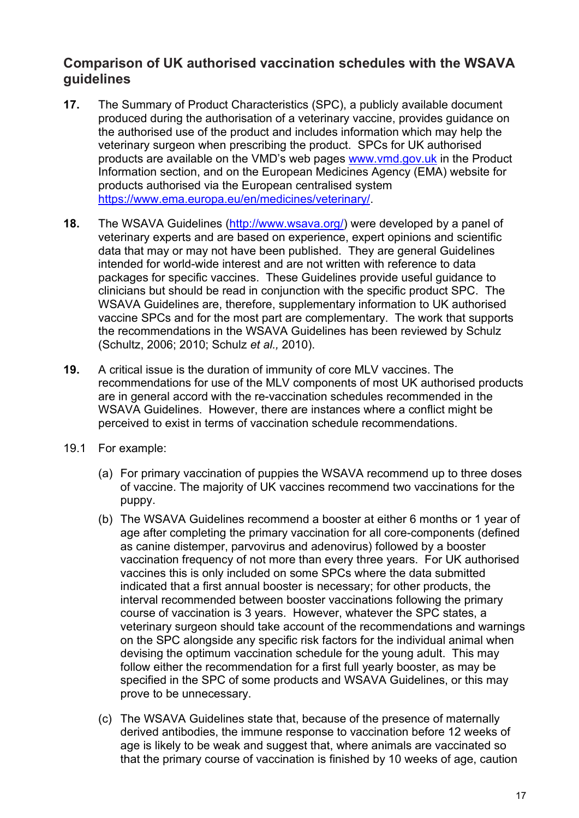## <span id="page-16-0"></span>**Comparison of UK authorised vaccination schedules with the WSAVA guidelines**

- **17.** The Summary of Product Characteristics (SPC), a publicly available document produced during the authorisation of a veterinary vaccine, provides guidance on the authorised use of the product and includes information which may help the veterinary surgeon when prescribing the product. SPCs for UK authorised products are available on the VMD's web pages [www.vmd.gov.uk](http://www.vmd.gov.uk/) in the Product Information section, and on the European Medicines Agency (EMA) website for products authorised via the European centralised system [https://www.ema.europa.eu/en/medicines/veterinary/.](https://www.ema.europa.eu/en/medicines/veterinary/)
- **18.** The WSAVA Guidelines [\(http://www.wsava.org/\)](http://www.wsava.org/) were developed by a panel of veterinary experts and are based on experience, expert opinions and scientific data that may or may not have been published. They are general Guidelines intended for world-wide interest and are not written with reference to data packages for specific vaccines. These Guidelines provide useful guidance to clinicians but should be read in conjunction with the specific product SPC. The WSAVA Guidelines are, therefore, supplementary information to UK authorised vaccine SPCs and for the most part are complementary. The work that supports the recommendations in the WSAVA Guidelines has been reviewed by Schulz (Schultz, 2006; 2010; Schulz *et al.,* 2010).
- **19.** A critical issue is the duration of immunity of core MLV vaccines. The recommendations for use of the MLV components of most UK authorised products are in general accord with the re-vaccination schedules recommended in the WSAVA Guidelines. However, there are instances where a conflict might be perceived to exist in terms of vaccination schedule recommendations.
- 19.1 For example:
	- (a) For primary vaccination of puppies the WSAVA recommend up to three doses of vaccine. The majority of UK vaccines recommend two vaccinations for the puppy.
	- (b) The WSAVA Guidelines recommend a booster at either 6 months or 1 year of age after completing the primary vaccination for all core-components (defined as canine distemper, parvovirus and adenovirus) followed by a booster vaccination frequency of not more than every three years. For UK authorised vaccines this is only included on some SPCs where the data submitted indicated that a first annual booster is necessary; for other products, the interval recommended between booster vaccinations following the primary course of vaccination is 3 years. However, whatever the SPC states, a veterinary surgeon should take account of the recommendations and warnings on the SPC alongside any specific risk factors for the individual animal when devising the optimum vaccination schedule for the young adult. This may follow either the recommendation for a first full yearly booster, as may be specified in the SPC of some products and WSAVA Guidelines, or this may prove to be unnecessary.
	- (c) The WSAVA Guidelines state that, because of the presence of maternally derived antibodies, the immune response to vaccination before 12 weeks of age is likely to be weak and suggest that, where animals are vaccinated so that the primary course of vaccination is finished by 10 weeks of age, caution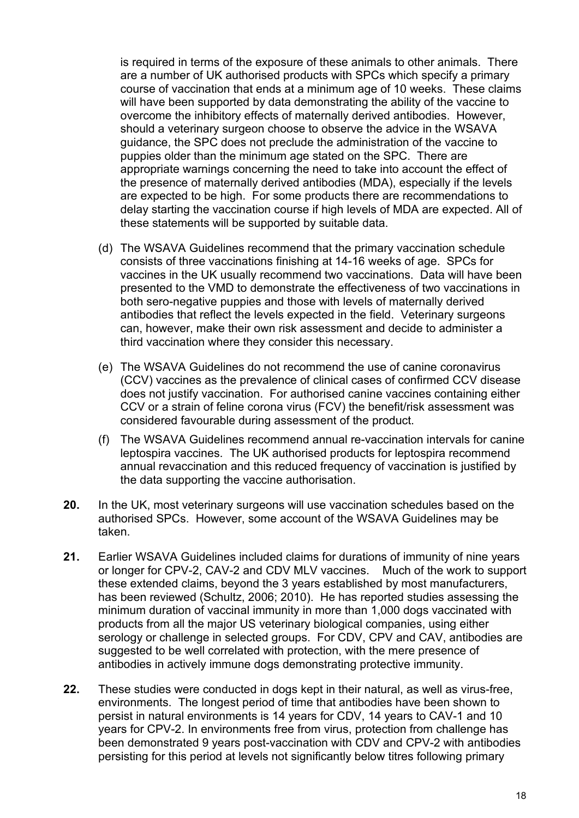is required in terms of the exposure of these animals to other animals. There are a number of UK authorised products with SPCs which specify a primary course of vaccination that ends at a minimum age of 10 weeks. These claims will have been supported by data demonstrating the ability of the vaccine to overcome the inhibitory effects of maternally derived antibodies. However, should a veterinary surgeon choose to observe the advice in the WSAVA guidance, the SPC does not preclude the administration of the vaccine to puppies older than the minimum age stated on the SPC. There are appropriate warnings concerning the need to take into account the effect of the presence of maternally derived antibodies (MDA), especially if the levels are expected to be high. For some products there are recommendations to delay starting the vaccination course if high levels of MDA are expected. All of these statements will be supported by suitable data.

- (d) The WSAVA Guidelines recommend that the primary vaccination schedule consists of three vaccinations finishing at 14-16 weeks of age. SPCs for vaccines in the UK usually recommend two vaccinations. Data will have been presented to the VMD to demonstrate the effectiveness of two vaccinations in both sero-negative puppies and those with levels of maternally derived antibodies that reflect the levels expected in the field. Veterinary surgeons can, however, make their own risk assessment and decide to administer a third vaccination where they consider this necessary.
- (e) The WSAVA Guidelines do not recommend the use of canine coronavirus (CCV) vaccines as the prevalence of clinical cases of confirmed CCV disease does not justify vaccination. For authorised canine vaccines containing either CCV or a strain of feline corona virus (FCV) the benefit/risk assessment was considered favourable during assessment of the product.
- (f) The WSAVA Guidelines recommend annual re-vaccination intervals for canine leptospira vaccines. The UK authorised products for leptospira recommend annual revaccination and this reduced frequency of vaccination is justified by the data supporting the vaccine authorisation.
- **20.** In the UK, most veterinary surgeons will use vaccination schedules based on the authorised SPCs. However, some account of the WSAVA Guidelines may be taken.
- **21.** Earlier WSAVA Guidelines included claims for durations of immunity of nine years or longer for CPV-2, CAV-2 and CDV MLV vaccines. Much of the work to support these extended claims, beyond the 3 years established by most manufacturers, has been reviewed (Schultz, 2006; 2010). He has reported studies assessing the minimum duration of vaccinal immunity in more than 1,000 dogs vaccinated with products from all the major US veterinary biological companies, using either serology or challenge in selected groups. For CDV, CPV and CAV, antibodies are suggested to be well correlated with protection, with the mere presence of antibodies in actively immune dogs demonstrating protective immunity.
- **22.** These studies were conducted in dogs kept in their natural, as well as virus-free, environments. The longest period of time that antibodies have been shown to persist in natural environments is 14 years for CDV, 14 years to CAV-1 and 10 years for CPV-2. In environments free from virus, protection from challenge has been demonstrated 9 years post-vaccination with CDV and CPV-2 with antibodies persisting for this period at levels not significantly below titres following primary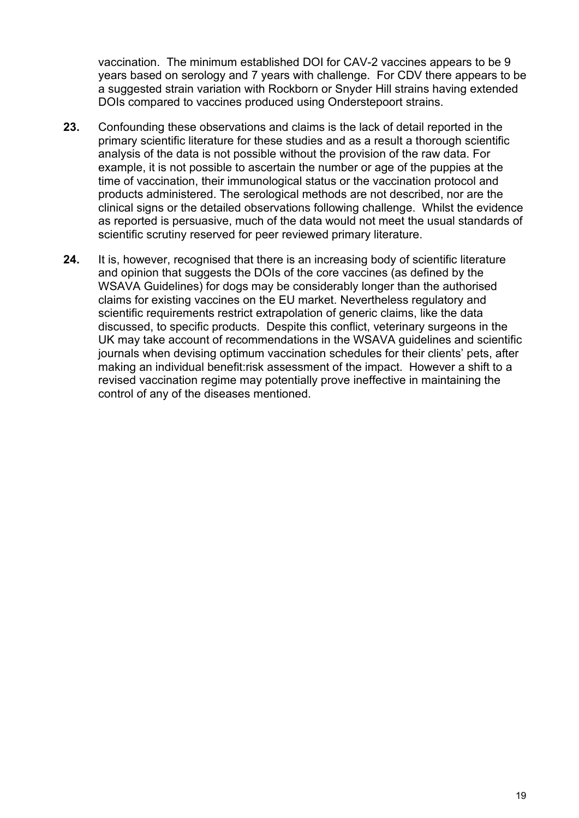vaccination. The minimum established DOI for CAV-2 vaccines appears to be 9 years based on serology and 7 years with challenge. For CDV there appears to be a suggested strain variation with Rockborn or Snyder Hill strains having extended DOIs compared to vaccines produced using Onderstepoort strains.

- **23.** Confounding these observations and claims is the lack of detail reported in the primary scientific literature for these studies and as a result a thorough scientific analysis of the data is not possible without the provision of the raw data. For example, it is not possible to ascertain the number or age of the puppies at the time of vaccination, their immunological status or the vaccination protocol and products administered. The serological methods are not described, nor are the clinical signs or the detailed observations following challenge. Whilst the evidence as reported is persuasive, much of the data would not meet the usual standards of scientific scrutiny reserved for peer reviewed primary literature.
- **24.** It is, however, recognised that there is an increasing body of scientific literature and opinion that suggests the DOIs of the core vaccines (as defined by the WSAVA Guidelines) for dogs may be considerably longer than the authorised claims for existing vaccines on the EU market. Nevertheless regulatory and scientific requirements restrict extrapolation of generic claims, like the data discussed, to specific products. Despite this conflict, veterinary surgeons in the UK may take account of recommendations in the WSAVA guidelines and scientific journals when devising optimum vaccination schedules for their clients' pets, after making an individual benefit:risk assessment of the impact. However a shift to a revised vaccination regime may potentially prove ineffective in maintaining the control of any of the diseases mentioned.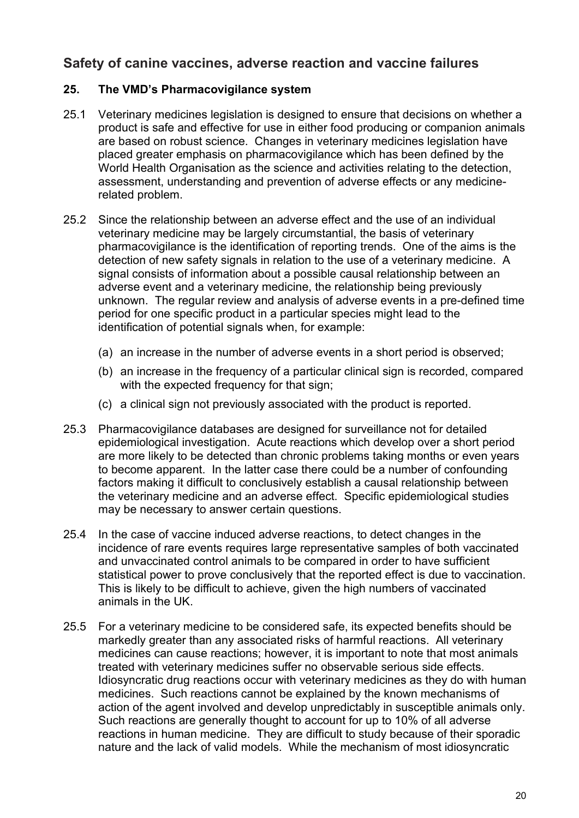## <span id="page-19-0"></span>**Safety of canine vaccines, adverse reaction and vaccine failures**

#### **25. The VMD's Pharmacovigilance system**

- 25.1 Veterinary medicines legislation is designed to ensure that decisions on whether a product is safe and effective for use in either food producing or companion animals are based on robust science. Changes in veterinary medicines legislation have placed greater emphasis on pharmacovigilance which has been defined by the World Health Organisation as the science and activities relating to the detection, assessment, understanding and prevention of adverse effects or any medicinerelated problem.
- 25.2 Since the relationship between an adverse effect and the use of an individual veterinary medicine may be largely circumstantial, the basis of veterinary pharmacovigilance is the identification of reporting trends. One of the aims is the detection of new safety signals in relation to the use of a veterinary medicine. A signal consists of information about a possible causal relationship between an adverse event and a veterinary medicine, the relationship being previously unknown. The regular review and analysis of adverse events in a pre-defined time period for one specific product in a particular species might lead to the identification of potential signals when, for example:
	- (a) an increase in the number of adverse events in a short period is observed;
	- (b) an increase in the frequency of a particular clinical sign is recorded, compared with the expected frequency for that sign;
	- (c) a clinical sign not previously associated with the product is reported.
- 25.3 Pharmacovigilance databases are designed for surveillance not for detailed epidemiological investigation. Acute reactions which develop over a short period are more likely to be detected than chronic problems taking months or even years to become apparent. In the latter case there could be a number of confounding factors making it difficult to conclusively establish a causal relationship between the veterinary medicine and an adverse effect. Specific epidemiological studies may be necessary to answer certain questions.
- 25.4 In the case of vaccine induced adverse reactions, to detect changes in the incidence of rare events requires large representative samples of both vaccinated and unvaccinated control animals to be compared in order to have sufficient statistical power to prove conclusively that the reported effect is due to vaccination. This is likely to be difficult to achieve, given the high numbers of vaccinated animals in the UK.
- 25.5 For a veterinary medicine to be considered safe, its expected benefits should be markedly greater than any associated risks of harmful reactions. All veterinary medicines can cause reactions; however, it is important to note that most animals treated with veterinary medicines suffer no observable serious side effects. Idiosyncratic drug reactions occur with veterinary medicines as they do with human medicines. Such reactions cannot be explained by the known mechanisms of action of the agent involved and develop unpredictably in susceptible animals only. Such reactions are generally thought to account for up to 10% of all adverse reactions in human medicine. They are difficult to study because of their sporadic nature and the lack of valid models. While the mechanism of most idiosyncratic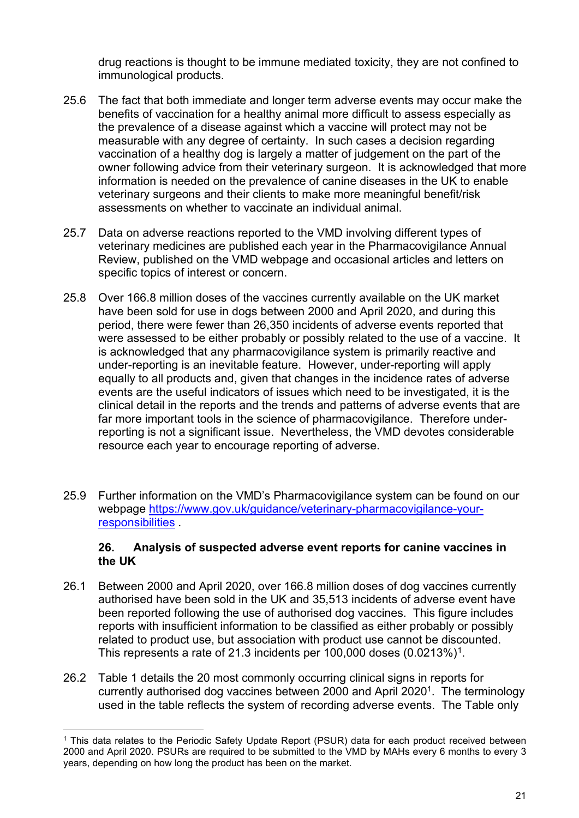drug reactions is thought to be immune mediated toxicity, they are not confined to immunological products.

- 25.6 The fact that both immediate and longer term adverse events may occur make the benefits of vaccination for a healthy animal more difficult to assess especially as the prevalence of a disease against which a vaccine will protect may not be measurable with any degree of certainty. In such cases a decision regarding vaccination of a healthy dog is largely a matter of judgement on the part of the owner following advice from their veterinary surgeon. It is acknowledged that more information is needed on the prevalence of canine diseases in the UK to enable veterinary surgeons and their clients to make more meaningful benefit/risk assessments on whether to vaccinate an individual animal.
- 25.7 Data on adverse reactions reported to the VMD involving different types of veterinary medicines are published each year in the Pharmacovigilance Annual Review, published on the VMD webpage and occasional articles and letters on specific topics of interest or concern.
- 25.8 Over 166.8 million doses of the vaccines currently available on the UK market have been sold for use in dogs between 2000 and April 2020, and during this period, there were fewer than 26,350 incidents of adverse events reported that were assessed to be either probably or possibly related to the use of a vaccine. It is acknowledged that any pharmacovigilance system is primarily reactive and under-reporting is an inevitable feature. However, under-reporting will apply equally to all products and, given that changes in the incidence rates of adverse events are the useful indicators of issues which need to be investigated, it is the clinical detail in the reports and the trends and patterns of adverse events that are far more important tools in the science of pharmacovigilance. Therefore underreporting is not a significant issue. Nevertheless, the VMD devotes considerable resource each year to encourage reporting of adverse.
- 25.9 Further information on the VMD's Pharmacovigilance system can be found on our webpage [https://www.gov.uk/guidance/veterinary-pharmacovigilance-your](https://www.gov.uk/guidance/veterinary-pharmacovigilance-your-responsibilities)[responsibilities](https://www.gov.uk/guidance/veterinary-pharmacovigilance-your-responsibilities) .

#### <span id="page-20-0"></span>**26. Analysis of suspected adverse event reports for canine vaccines in the UK**

- 26.1 Between 2000 and April 2020, over 166.8 million doses of dog vaccines currently authorised have been sold in the UK and 35,513 incidents of adverse event have been reported following the use of authorised dog vaccines. This figure includes reports with insufficient information to be classified as either probably or possibly related to product use, but association with product use cannot be discounted. This represents a rate of 2[1](#page-20-1).3 incidents per 100,000 doses  $(0.0213\%)$ <sup>1</sup>.
- 26.2 Table 1 details the 20 most commonly occurring clinical signs in reports for currently authorised dog vaccines between 2000 and April 2020<sup>1</sup>. The terminology used in the table reflects the system of recording adverse events. The Table only

<span id="page-20-1"></span><sup>&</sup>lt;sup>1</sup> This data relates to the Periodic Safety Update Report (PSUR) data for each product received between 2000 and April 2020. PSURs are required to be submitted to the VMD by MAHs every 6 months to every 3 years, depending on how long the product has been on the market.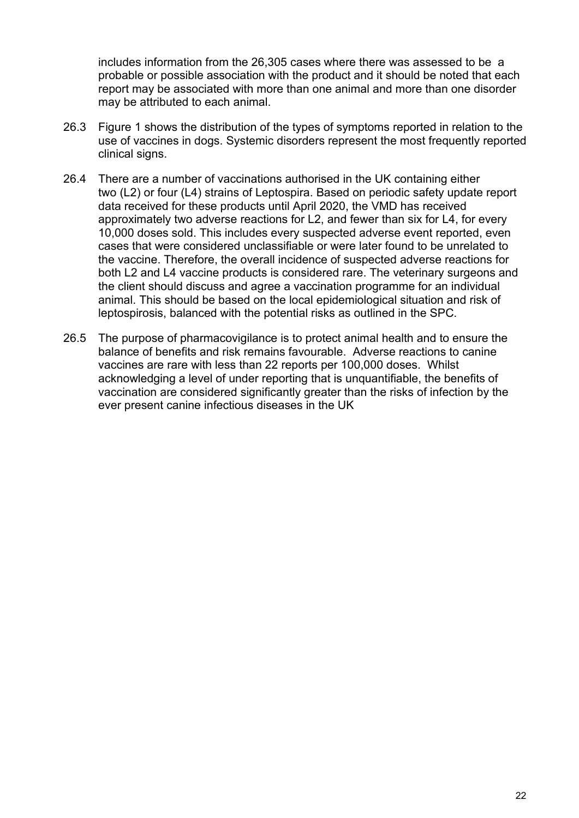includes information from the 26,305 cases where there was assessed to be a probable or possible association with the product and it should be noted that each report may be associated with more than one animal and more than one disorder may be attributed to each animal.

- 26.3 Figure 1 shows the distribution of the types of symptoms reported in relation to the use of vaccines in dogs. Systemic disorders represent the most frequently reported clinical signs.
- 26.4 There are a number of vaccinations authorised in the UK containing either two (L2) or four (L4) strains of Leptospira. Based on periodic safety update report data received for these products until April 2020, the VMD has received approximately two adverse reactions for L2, and fewer than six for L4, for every 10,000 doses sold. This includes every suspected adverse event reported, even cases that were considered unclassifiable or were later found to be unrelated to the vaccine. Therefore, the overall incidence of suspected adverse reactions for both L2 and L4 vaccine products is considered rare. The veterinary surgeons and the client should discuss and agree a vaccination programme for an individual animal. This should be based on the local epidemiological situation and risk of leptospirosis, balanced with the potential risks as outlined in the SPC.
- 26.5 The purpose of pharmacovigilance is to protect animal health and to ensure the balance of benefits and risk remains favourable. Adverse reactions to canine vaccines are rare with less than 22 reports per 100,000 doses. Whilst acknowledging a level of under reporting that is unquantifiable, the benefits of vaccination are considered significantly greater than the risks of infection by the ever present canine infectious diseases in the UK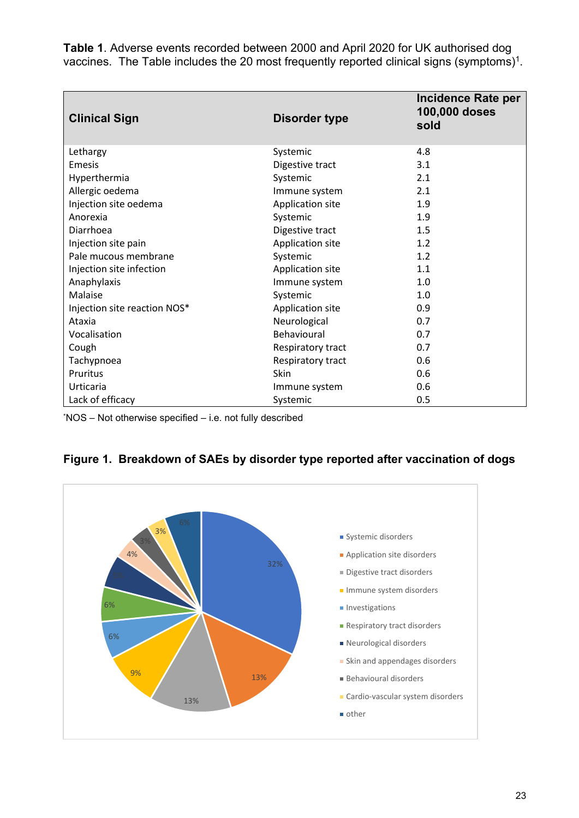**Table 1**. Adverse events recorded between 2000 and April 2020 for UK authorised dog vaccines. The Table includes the 20 most frequently reported clinical signs (symptoms)<sup>1</sup>.

| <b>Clinical Sign</b>         | Disorder type     | Incidence Rate per<br>100,000 doses<br>sold |
|------------------------------|-------------------|---------------------------------------------|
| Lethargy                     | Systemic          | 4.8                                         |
| Emesis                       | Digestive tract   | 3.1                                         |
| Hyperthermia                 | Systemic          | 2.1                                         |
| Allergic oedema              | Immune system     | 2.1                                         |
| Injection site oedema        | Application site  | 1.9                                         |
| Anorexia                     | Systemic          | 1.9                                         |
| Diarrhoea                    | Digestive tract   | 1.5                                         |
| Injection site pain          | Application site  | 1.2                                         |
| Pale mucous membrane         | Systemic          | 1.2                                         |
| Injection site infection     | Application site  | 1.1                                         |
| Anaphylaxis                  | Immune system     | 1.0                                         |
| Malaise                      | Systemic          | 1.0                                         |
| Injection site reaction NOS* | Application site  | 0.9                                         |
| Ataxia                       | Neurological      | 0.7                                         |
| Vocalisation                 | Behavioural       | 0.7                                         |
| Cough                        | Respiratory tract | 0.7                                         |
| Tachypnoea                   | Respiratory tract | 0.6                                         |
| Pruritus                     | <b>Skin</b>       | 0.6                                         |
| Urticaria                    | Immune system     | 0.6                                         |
| Lack of efficacy             | Systemic          | 0.5                                         |

\* NOS – Not otherwise specified – i.e. not fully described



#### **Figure 1. Breakdown of SAEs by disorder type reported after vaccination of dogs**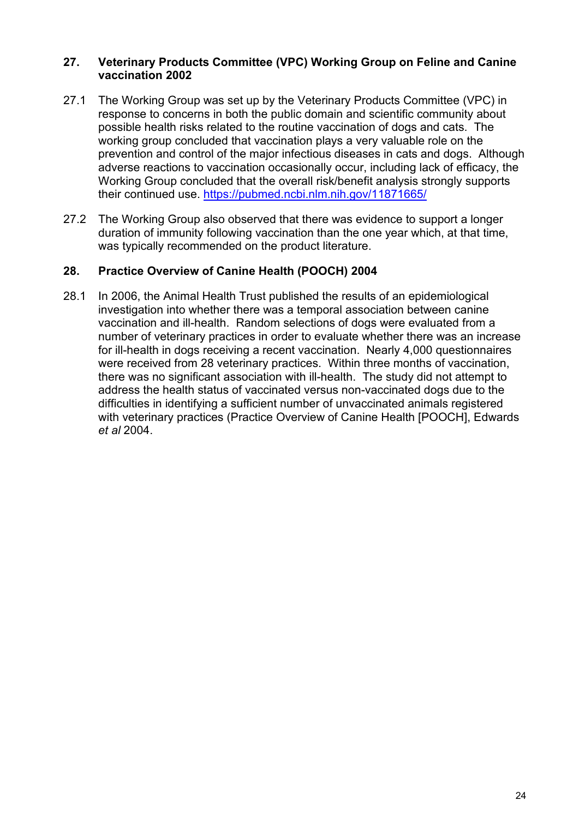#### **27. Veterinary Products Committee (VPC) Working Group on Feline and Canine vaccination 2002**

- 27.1 The Working Group was set up by the Veterinary Products Committee (VPC) in response to concerns in both the public domain and scientific community about possible health risks related to the routine vaccination of dogs and cats. The working group concluded that vaccination plays a very valuable role on the prevention and control of the major infectious diseases in cats and dogs. Although adverse reactions to vaccination occasionally occur, including lack of efficacy, the Working Group concluded that the overall risk/benefit analysis strongly supports their continued use. <https://pubmed.ncbi.nlm.nih.gov/11871665/>
- 27.2 The Working Group also observed that there was evidence to support a longer duration of immunity following vaccination than the one year which, at that time, was typically recommended on the product literature.

#### **28. Practice Overview of Canine Health (POOCH) 2004**

28.1 In 2006, the Animal Health Trust published the results of an epidemiological investigation into whether there was a temporal association between canine vaccination and ill-health. Random selections of dogs were evaluated from a number of veterinary practices in order to evaluate whether there was an increase for ill-health in dogs receiving a recent vaccination. Nearly 4,000 questionnaires were received from 28 veterinary practices. Within three months of vaccination, there was no significant association with ill-health. The study did not attempt to address the health status of vaccinated versus non-vaccinated dogs due to the difficulties in identifying a sufficient number of unvaccinated animals registered with veterinary practices (Practice Overview of Canine Health [POOCH], Edwards *et al* 2004.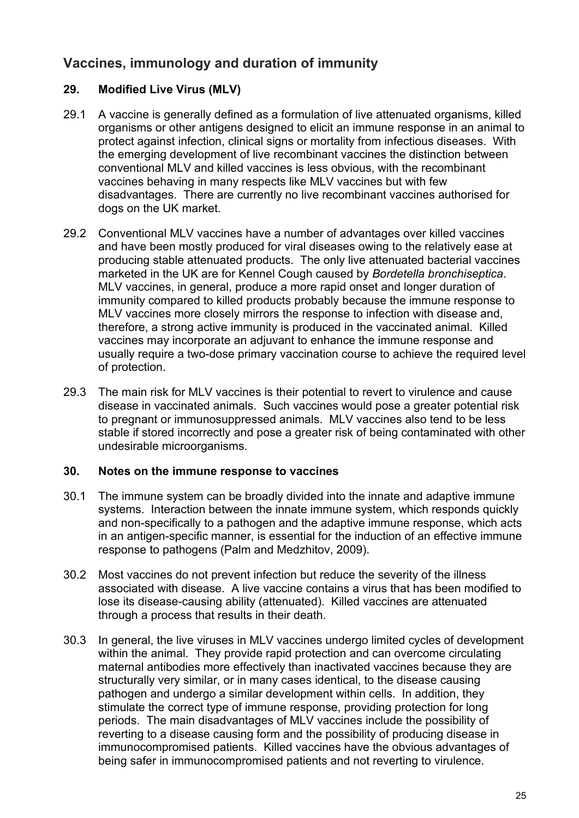## <span id="page-24-0"></span>**Vaccines, immunology and duration of immunity**

## **29. Modified Live Virus (MLV)**

- 29.1 A vaccine is generally defined as a formulation of live attenuated organisms, killed organisms or other antigens designed to elicit an immune response in an animal to protect against infection, clinical signs or mortality from infectious diseases. With the emerging development of live recombinant vaccines the distinction between conventional MLV and killed vaccines is less obvious, with the recombinant vaccines behaving in many respects like MLV vaccines but with few disadvantages. There are currently no live recombinant vaccines authorised for dogs on the UK market.
- 29.2 Conventional MLV vaccines have a number of advantages over killed vaccines and have been mostly produced for viral diseases owing to the relatively ease at producing stable attenuated products. The only live attenuated bacterial vaccines marketed in the UK are for Kennel Cough caused by *Bordetella bronchiseptica*. MLV vaccines, in general, produce a more rapid onset and longer duration of immunity compared to killed products probably because the immune response to MLV vaccines more closely mirrors the response to infection with disease and, therefore, a strong active immunity is produced in the vaccinated animal. Killed vaccines may incorporate an adjuvant to enhance the immune response and usually require a two-dose primary vaccination course to achieve the required level of protection.
- 29.3 The main risk for MLV vaccines is their potential to revert to virulence and cause disease in vaccinated animals. Such vaccines would pose a greater potential risk to pregnant or immunosuppressed animals. MLV vaccines also tend to be less stable if stored incorrectly and pose a greater risk of being contaminated with other undesirable microorganisms.

#### **30. Notes on the immune response to vaccines**

- 30.1 The immune system can be broadly divided into the innate and adaptive immune systems. Interaction between the innate immune system, which responds quickly and non-specifically to a pathogen and the adaptive immune response, which acts in an antigen-specific manner, is essential for the induction of an effective immune response to pathogens (Palm and Medzhitov, 2009).
- 30.2 Most vaccines do not prevent infection but reduce the severity of the illness associated with disease. A live vaccine contains a virus that has been modified to lose its disease-causing ability (attenuated). Killed vaccines are attenuated through a process that results in their death.
- 30.3 In general, the live viruses in MLV vaccines undergo limited cycles of development within the animal. They provide rapid protection and can overcome circulating maternal antibodies more effectively than inactivated vaccines because they are structurally very similar, or in many cases identical, to the disease causing pathogen and undergo a similar development within cells. In addition, they stimulate the correct type of immune response, providing protection for long periods. The main disadvantages of MLV vaccines include the possibility of reverting to a disease causing form and the possibility of producing disease in immunocompromised patients. Killed vaccines have the obvious advantages of being safer in immunocompromised patients and not reverting to virulence.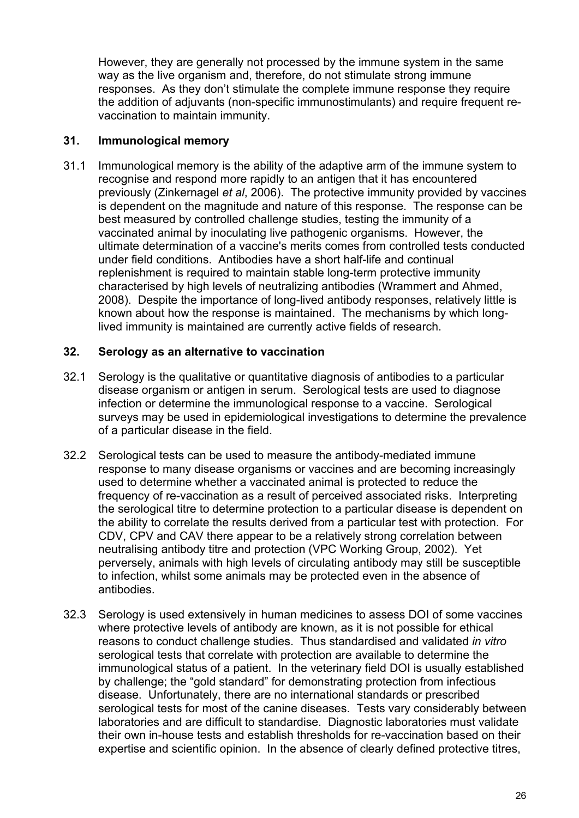However, they are generally not processed by the immune system in the same way as the live organism and, therefore, do not stimulate strong immune responses. As they don't stimulate the complete immune response they require the addition of adjuvants (non-specific immunostimulants) and require frequent revaccination to maintain immunity.

#### **31. Immunological memory**

31.1 Immunological memory is the ability of the adaptive arm of the immune system to recognise and respond more rapidly to an antigen that it has encountered previously (Zinkernagel *et al*, 2006). The protective immunity provided by vaccines is dependent on the magnitude and nature of this response. The response can be best measured by controlled challenge studies, testing the immunity of a vaccinated animal by inoculating live pathogenic organisms. However, the ultimate determination of a vaccine's merits comes from controlled tests conducted under field conditions. Antibodies have a short half-life and continual replenishment is required to maintain stable long-term protective immunity characterised by high levels of neutralizing antibodies (Wrammert and Ahmed, 2008). Despite the importance of long-lived antibody responses, relatively little is known about how the response is maintained. The mechanisms by which longlived immunity is maintained are currently active fields of research.

### **32. Serology as an alternative to vaccination**

- 32.1 Serology is the qualitative or quantitative diagnosis of antibodies to a particular disease organism or antigen in serum. Serological tests are used to diagnose infection or determine the immunological response to a vaccine. Serological surveys may be used in epidemiological investigations to determine the prevalence of a particular disease in the field.
- 32.2 Serological tests can be used to measure the antibody-mediated immune response to many disease organisms or vaccines and are becoming increasingly used to determine whether a vaccinated animal is protected to reduce the frequency of re-vaccination as a result of perceived associated risks. Interpreting the serological titre to determine protection to a particular disease is dependent on the ability to correlate the results derived from a particular test with protection. For CDV, CPV and CAV there appear to be a relatively strong correlation between neutralising antibody titre and protection (VPC Working Group, 2002). Yet perversely, animals with high levels of circulating antibody may still be susceptible to infection, whilst some animals may be protected even in the absence of antibodies.
- 32.3 Serology is used extensively in human medicines to assess DOI of some vaccines where protective levels of antibody are known, as it is not possible for ethical reasons to conduct challenge studies. Thus standardised and validated *in vitro* serological tests that correlate with protection are available to determine the immunological status of a patient. In the veterinary field DOI is usually established by challenge; the "gold standard" for demonstrating protection from infectious disease. Unfortunately, there are no international standards or prescribed serological tests for most of the canine diseases. Tests vary considerably between laboratories and are difficult to standardise. Diagnostic laboratories must validate their own in-house tests and establish thresholds for re-vaccination based on their expertise and scientific opinion. In the absence of clearly defined protective titres,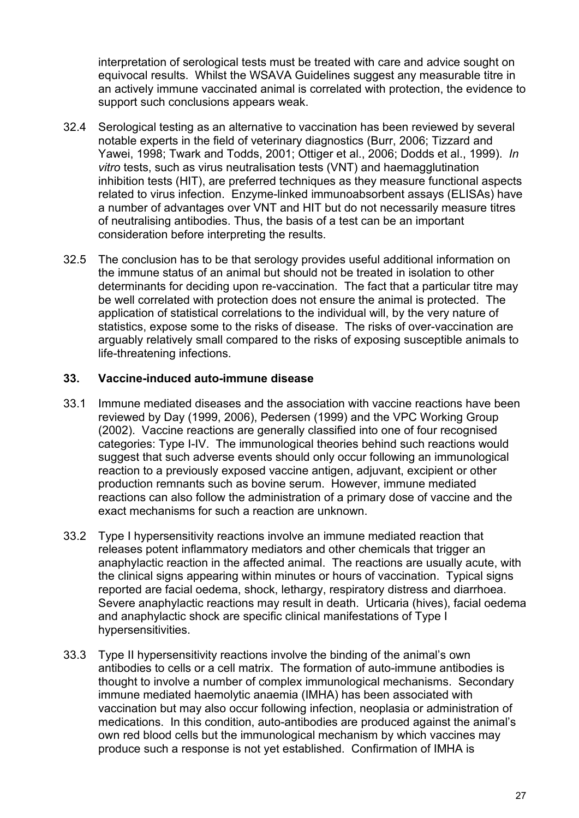interpretation of serological tests must be treated with care and advice sought on equivocal results. Whilst the WSAVA Guidelines suggest any measurable titre in an actively immune vaccinated animal is correlated with protection, the evidence to support such conclusions appears weak.

- 32.4 Serological testing as an alternative to vaccination has been reviewed by several notable experts in the field of veterinary diagnostics (Burr, 2006; Tizzard and Yawei, 1998; Twark and Todds, 2001; Ottiger et al., 2006; Dodds et al., 1999). *In vitro* tests, such as virus neutralisation tests (VNT) and haemagglutination inhibition tests (HIT), are preferred techniques as they measure functional aspects related to virus infection. Enzyme-linked immunoabsorbent assays (ELISAs) have a number of advantages over VNT and HIT but do not necessarily measure titres of neutralising antibodies. Thus, the basis of a test can be an important consideration before interpreting the results.
- 32.5 The conclusion has to be that serology provides useful additional information on the immune status of an animal but should not be treated in isolation to other determinants for deciding upon re-vaccination. The fact that a particular titre may be well correlated with protection does not ensure the animal is protected. The application of statistical correlations to the individual will, by the very nature of statistics, expose some to the risks of disease. The risks of over-vaccination are arguably relatively small compared to the risks of exposing susceptible animals to life-threatening infections.

#### **33. Vaccine-induced auto-immune disease**

- 33.1 Immune mediated diseases and the association with vaccine reactions have been reviewed by Day (1999, 2006), Pedersen (1999) and the VPC Working Group (2002). Vaccine reactions are generally classified into one of four recognised categories: Type I-IV. The immunological theories behind such reactions would suggest that such adverse events should only occur following an immunological reaction to a previously exposed vaccine antigen, adjuvant, excipient or other production remnants such as bovine serum. However, immune mediated reactions can also follow the administration of a primary dose of vaccine and the exact mechanisms for such a reaction are unknown.
- 33.2 Type I hypersensitivity reactions involve an immune mediated reaction that releases potent inflammatory mediators and other chemicals that trigger an anaphylactic reaction in the affected animal. The reactions are usually acute, with the clinical signs appearing within minutes or hours of vaccination. Typical signs reported are facial oedema, shock, lethargy, respiratory distress and diarrhoea. Severe anaphylactic reactions may result in death. Urticaria (hives), facial oedema and anaphylactic shock are specific clinical manifestations of Type I hypersensitivities.
- 33.3 Type II hypersensitivity reactions involve the binding of the animal's own antibodies to cells or a cell matrix. The formation of auto-immune antibodies is thought to involve a number of complex immunological mechanisms. Secondary immune mediated haemolytic anaemia (IMHA) has been associated with vaccination but may also occur following infection, neoplasia or administration of medications. In this condition, auto-antibodies are produced against the animal's own red blood cells but the immunological mechanism by which vaccines may produce such a response is not yet established. Confirmation of IMHA is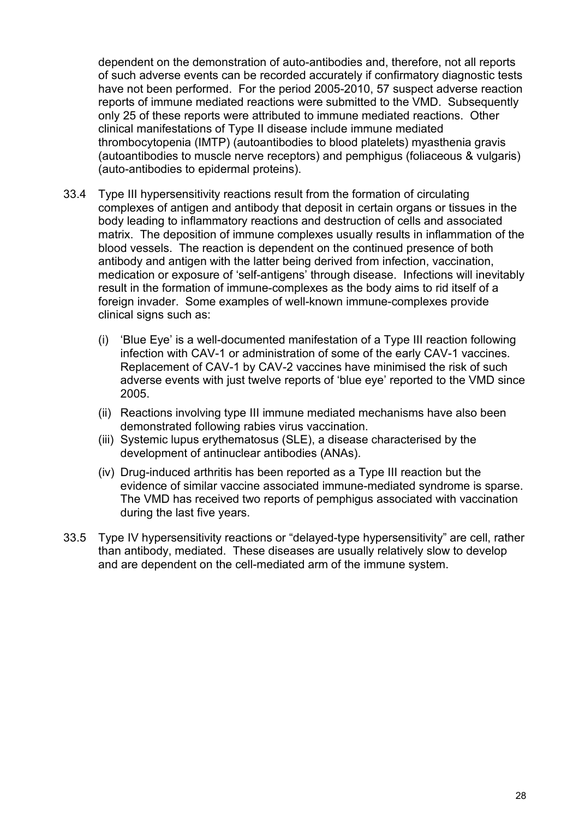dependent on the demonstration of auto-antibodies and, therefore, not all reports of such adverse events can be recorded accurately if confirmatory diagnostic tests have not been performed. For the period 2005-2010, 57 suspect adverse reaction reports of immune mediated reactions were submitted to the VMD. Subsequently only 25 of these reports were attributed to immune mediated reactions. Other clinical manifestations of Type II disease include immune mediated thrombocytopenia (IMTP) (autoantibodies to blood platelets) myasthenia gravis (autoantibodies to muscle nerve receptors) and pemphigus (foliaceous & vulgaris) (auto-antibodies to epidermal proteins).

- 33.4 Type III hypersensitivity reactions result from the formation of circulating complexes of antigen and antibody that deposit in certain organs or tissues in the body leading to inflammatory reactions and destruction of cells and associated matrix. The deposition of immune complexes usually results in inflammation of the blood vessels. The reaction is dependent on the continued presence of both antibody and antigen with the latter being derived from infection, vaccination, medication or exposure of 'self-antigens' through disease. Infections will inevitably result in the formation of immune-complexes as the body aims to rid itself of a foreign invader. Some examples of well-known immune-complexes provide clinical signs such as:
	- (i) 'Blue Eye' is a well-documented manifestation of a Type III reaction following infection with CAV-1 or administration of some of the early CAV-1 vaccines. Replacement of CAV-1 by CAV-2 vaccines have minimised the risk of such adverse events with just twelve reports of 'blue eye' reported to the VMD since 2005.
	- (ii) Reactions involving type III immune mediated mechanisms have also been demonstrated following rabies virus vaccination.
	- (iii) Systemic lupus erythematosus (SLE), a disease characterised by the development of antinuclear antibodies (ANAs).
	- (iv) Drug-induced arthritis has been reported as a Type III reaction but the evidence of similar vaccine associated immune-mediated syndrome is sparse. The VMD has received two reports of pemphigus associated with vaccination during the last five years.
- 33.5 Type IV hypersensitivity reactions or "delayed-type hypersensitivity" are cell, rather than antibody, mediated. These diseases are usually relatively slow to develop and are dependent on the cell-mediated arm of the immune system.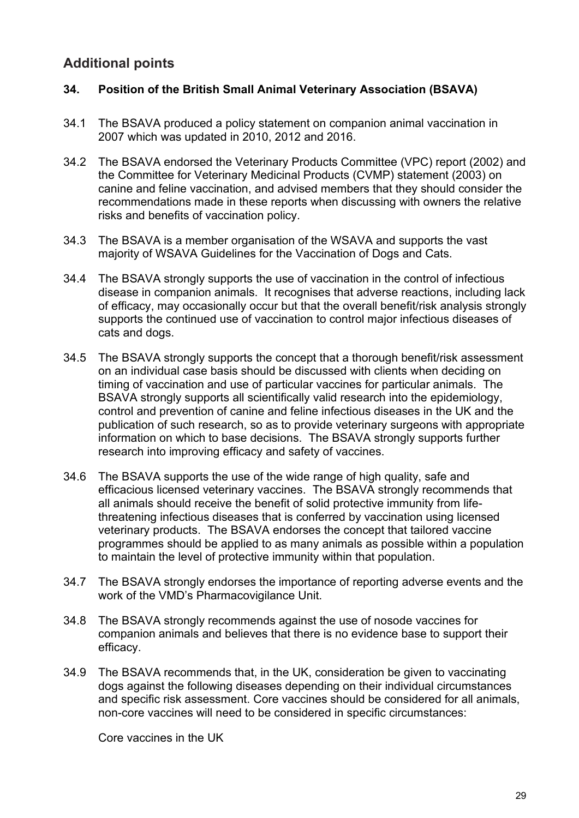## <span id="page-28-0"></span>**Additional points**

### <span id="page-28-1"></span>**34. Position of the British Small Animal Veterinary Association (BSAVA)**

- 34.1 The BSAVA produced a policy statement on companion animal vaccination in 2007 which was updated in 2010, 2012 and 2016.
- 34.2 The BSAVA endorsed the Veterinary Products Committee (VPC) report (2002) and the Committee for Veterinary Medicinal Products (CVMP) statement (2003) on canine and feline vaccination, and advised members that they should consider the recommendations made in these reports when discussing with owners the relative risks and benefits of vaccination policy.
- 34.3 The BSAVA is a member organisation of the WSAVA and supports the vast majority of WSAVA Guidelines for the Vaccination of Dogs and Cats.
- 34.4 The BSAVA strongly supports the use of vaccination in the control of infectious disease in companion animals. It recognises that adverse reactions, including lack of efficacy, may occasionally occur but that the overall benefit/risk analysis strongly supports the continued use of vaccination to control major infectious diseases of cats and dogs.
- 34.5 The BSAVA strongly supports the concept that a thorough benefit/risk assessment on an individual case basis should be discussed with clients when deciding on timing of vaccination and use of particular vaccines for particular animals. The BSAVA strongly supports all scientifically valid research into the epidemiology, control and prevention of canine and feline infectious diseases in the UK and the publication of such research, so as to provide veterinary surgeons with appropriate information on which to base decisions. The BSAVA strongly supports further research into improving efficacy and safety of vaccines.
- 34.6 The BSAVA supports the use of the wide range of high quality, safe and efficacious licensed veterinary vaccines. The BSAVA strongly recommends that all animals should receive the benefit of solid protective immunity from lifethreatening infectious diseases that is conferred by vaccination using licensed veterinary products. The BSAVA endorses the concept that tailored vaccine programmes should be applied to as many animals as possible within a population to maintain the level of protective immunity within that population.
- 34.7 The BSAVA strongly endorses the importance of reporting adverse events and the work of the VMD's Pharmacovigilance Unit.
- 34.8 The BSAVA strongly recommends against the use of nosode vaccines for companion animals and believes that there is no evidence base to support their efficacy.
- 34.9 The BSAVA recommends that, in the UK, consideration be given to vaccinating dogs against the following diseases depending on their individual circumstances and specific risk assessment. Core vaccines should be considered for all animals, non-core vaccines will need to be considered in specific circumstances:

Core vaccines in the UK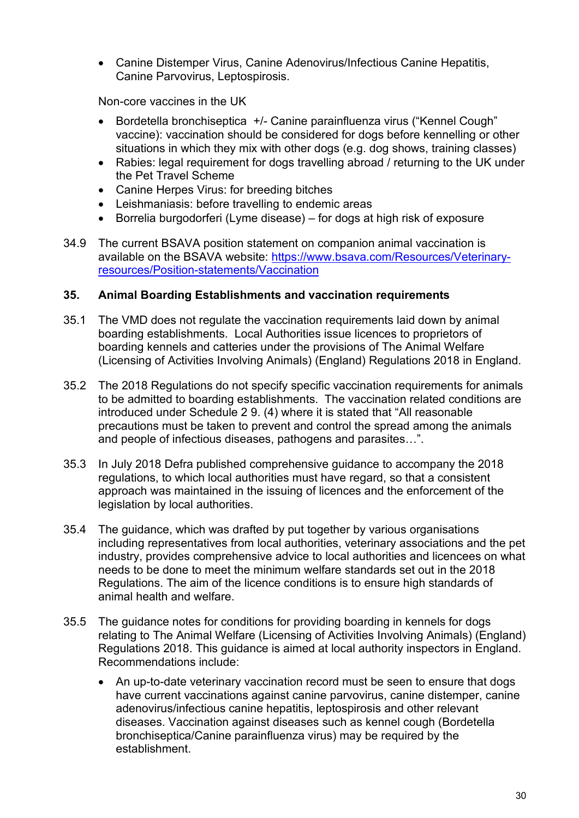• Canine Distemper Virus, Canine Adenovirus/Infectious Canine Hepatitis, Canine Parvovirus, Leptospirosis.

Non-core vaccines in the UK

- Bordetella bronchiseptica +/- Canine parainfluenza virus ("Kennel Cough" vaccine): vaccination should be considered for dogs before kennelling or other situations in which they mix with other dogs (e.g. dog shows, training classes)
- Rabies: legal requirement for dogs travelling abroad / returning to the UK under the Pet Travel Scheme
- Canine Herpes Virus: for breeding bitches
- Leishmaniasis: before travelling to endemic areas
- Borrelia burgodorferi (Lyme disease) for dogs at high risk of exposure
- 34.9 The current BSAVA position statement on companion animal vaccination is available on the BSAVA website: [https://www.bsava.com/Resources/Veterinary](https://www.bsava.com/Resources/Veterinary-resources/Position-statements/Vaccination)[resources/Position-statements/Vaccination](https://www.bsava.com/Resources/Veterinary-resources/Position-statements/Vaccination)

#### <span id="page-29-0"></span>**35. Animal Boarding Establishments and vaccination requirements**

- 35.1 The VMD does not regulate the vaccination requirements laid down by animal boarding establishments. Local Authorities issue licences to proprietors of boarding kennels and catteries under the provisions of The Animal Welfare (Licensing of Activities Involving Animals) (England) Regulations 2018 in England.
- 35.2 The 2018 Regulations do not specify specific vaccination requirements for animals to be admitted to boarding establishments. The vaccination related conditions are introduced under Schedule 2 9. (4) where it is stated that "All reasonable precautions must be taken to prevent and control the spread among the animals and people of infectious diseases, pathogens and parasites…".
- 35.3 In July 2018 Defra published comprehensive guidance to accompany the 2018 regulations, to which local authorities must have regard, so that a consistent approach was maintained in the issuing of licences and the enforcement of the legislation by local authorities.
- 35.4 The guidance, which was drafted by put together by various organisations including representatives from local authorities, veterinary associations and the pet industry, provides comprehensive advice to local authorities and licencees on what needs to be done to meet the minimum welfare standards set out in the 2018 Regulations. The aim of the licence conditions is to ensure high standards of animal health and welfare.
- 35.5 The guidance notes for conditions for providing boarding in kennels for dogs relating to The Animal Welfare (Licensing of Activities Involving Animals) (England) Regulations 2018. This guidance is aimed at local authority inspectors in England. Recommendations include:
	- An up-to-date veterinary vaccination record must be seen to ensure that dogs have current vaccinations against canine parvovirus, canine distemper, canine adenovirus/infectious canine hepatitis, leptospirosis and other relevant diseases. Vaccination against diseases such as kennel cough (Bordetella bronchiseptica/Canine parainfluenza virus) may be required by the establishment.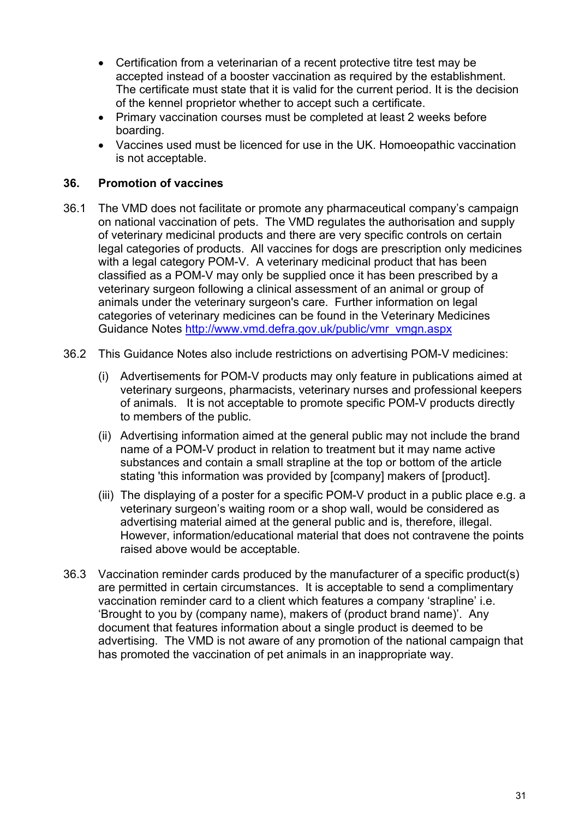- Certification from a veterinarian of a recent protective titre test may be accepted instead of a booster vaccination as required by the establishment. The certificate must state that it is valid for the current period. It is the decision of the kennel proprietor whether to accept such a certificate.
- Primary vaccination courses must be completed at least 2 weeks before boarding.
- Vaccines used must be licenced for use in the UK. Homoeopathic vaccination is not acceptable.

### <span id="page-30-0"></span>**36. Promotion of vaccines**

- 36.1 The VMD does not facilitate or promote any pharmaceutical company's campaign on national vaccination of pets. The VMD regulates the authorisation and supply of veterinary medicinal products and there are very specific controls on certain legal categories of products. All vaccines for dogs are prescription only medicines with a legal category POM-V. A veterinary medicinal product that has been classified as a POM-V may only be supplied once it has been prescribed by a veterinary surgeon following a clinical assessment of an animal or group of animals under the veterinary surgeon's care. Further information on legal categories of veterinary medicines can be found in the Veterinary Medicines Guidance Notes [http://www.vmd.defra.gov.uk/public/vmr\\_vmgn.aspx](http://www.vmd.defra.gov.uk/public/vmr_vmgn.aspx)
- 36.2 This Guidance Notes also include restrictions on advertising POM-V medicines:
	- (i) Advertisements for POM-V products may only feature in publications aimed at veterinary surgeons, pharmacists, veterinary nurses and professional keepers of animals. It is not acceptable to promote specific POM-V products directly to members of the public.
	- (ii) Advertising information aimed at the general public may not include the brand name of a POM-V product in relation to treatment but it may name active substances and contain a small strapline at the top or bottom of the article stating 'this information was provided by [company] makers of [product].
	- (iii) The displaying of a poster for a specific POM-V product in a public place e.g. a veterinary surgeon's waiting room or a shop wall, would be considered as advertising material aimed at the general public and is, therefore, illegal. However, information/educational material that does not contravene the points raised above would be acceptable.
- 36.3 Vaccination reminder cards produced by the manufacturer of a specific product(s) are permitted in certain circumstances. It is acceptable to send a complimentary vaccination reminder card to a client which features a company 'strapline' i.e. 'Brought to you by (company name), makers of (product brand name)'. Any document that features information about a single product is deemed to be advertising. The VMD is not aware of any promotion of the national campaign that has promoted the vaccination of pet animals in an inappropriate way.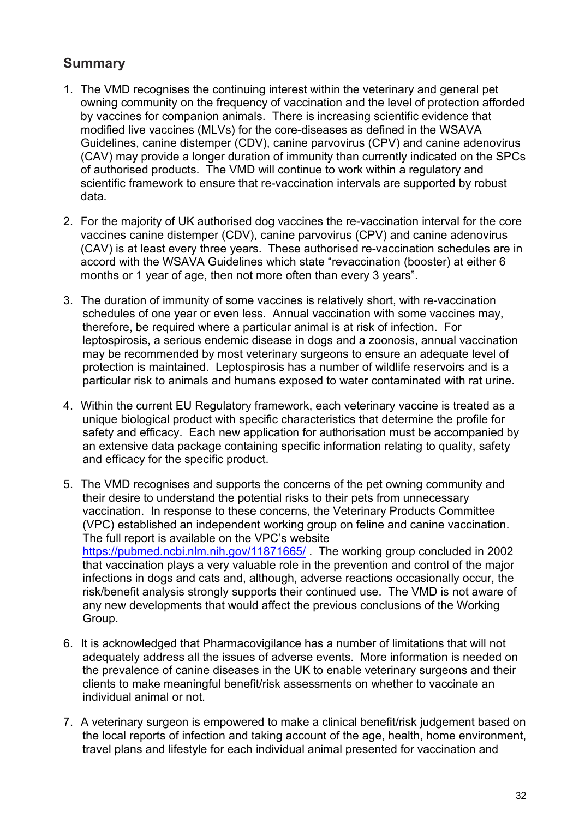## <span id="page-31-0"></span>**Summary**

- 1. The VMD recognises the continuing interest within the veterinary and general pet owning community on the frequency of vaccination and the level of protection afforded by vaccines for companion animals. There is increasing scientific evidence that modified live vaccines (MLVs) for the core-diseases as defined in the WSAVA Guidelines, canine distemper (CDV), canine parvovirus (CPV) and canine adenovirus (CAV) may provide a longer duration of immunity than currently indicated on the SPCs of authorised products. The VMD will continue to work within a regulatory and scientific framework to ensure that re-vaccination intervals are supported by robust data.
- 2. For the majority of UK authorised dog vaccines the re-vaccination interval for the core vaccines canine distemper (CDV), canine parvovirus (CPV) and canine adenovirus (CAV) is at least every three years. These authorised re-vaccination schedules are in accord with the WSAVA Guidelines which state "revaccination (booster) at either 6 months or 1 year of age, then not more often than every 3 years".
- 3. The duration of immunity of some vaccines is relatively short, with re-vaccination schedules of one year or even less. Annual vaccination with some vaccines may, therefore, be required where a particular animal is at risk of infection. For leptospirosis, a serious endemic disease in dogs and a zoonosis, annual vaccination may be recommended by most veterinary surgeons to ensure an adequate level of protection is maintained. Leptospirosis has a number of wildlife reservoirs and is a particular risk to animals and humans exposed to water contaminated with rat urine.
- 4. Within the current EU Regulatory framework, each veterinary vaccine is treated as a unique biological product with specific characteristics that determine the profile for safety and efficacy. Each new application for authorisation must be accompanied by an extensive data package containing specific information relating to quality, safety and efficacy for the specific product.
- 5. The VMD recognises and supports the concerns of the pet owning community and their desire to understand the potential risks to their pets from unnecessary vaccination. In response to these concerns, the Veterinary Products Committee (VPC) established an independent working group on feline and canine vaccination. The full report is available on the VPC's website <https://pubmed.ncbi.nlm.nih.gov/11871665/> . The working group concluded in 2002 that vaccination plays a very valuable role in the prevention and control of the major infections in dogs and cats and, although, adverse reactions occasionally occur, the risk/benefit analysis strongly supports their continued use. The VMD is not aware of any new developments that would affect the previous conclusions of the Working Group.
- 6. It is acknowledged that Pharmacovigilance has a number of limitations that will not adequately address all the issues of adverse events. More information is needed on the prevalence of canine diseases in the UK to enable veterinary surgeons and their clients to make meaningful benefit/risk assessments on whether to vaccinate an individual animal or not.
- 7. A veterinary surgeon is empowered to make a clinical benefit/risk judgement based on the local reports of infection and taking account of the age, health, home environment, travel plans and lifestyle for each individual animal presented for vaccination and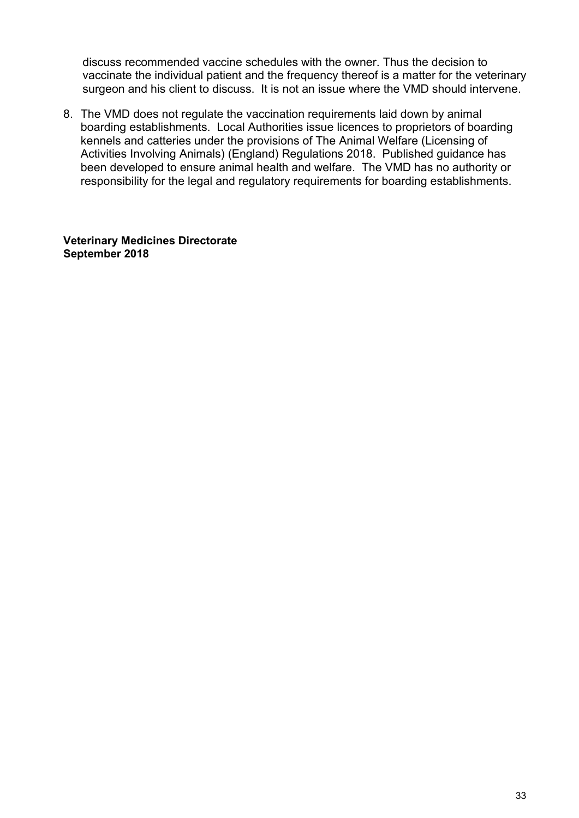discuss recommended vaccine schedules with the owner. Thus the decision to vaccinate the individual patient and the frequency thereof is a matter for the veterinary surgeon and his client to discuss. It is not an issue where the VMD should intervene.

8. The VMD does not regulate the vaccination requirements laid down by animal boarding establishments. Local Authorities issue licences to proprietors of boarding kennels and catteries under the provisions of The Animal Welfare (Licensing of Activities Involving Animals) (England) Regulations 2018. Published guidance has been developed to ensure animal health and welfare. The VMD has no authority or responsibility for the legal and regulatory requirements for boarding establishments.

**Veterinary Medicines Directorate September 2018**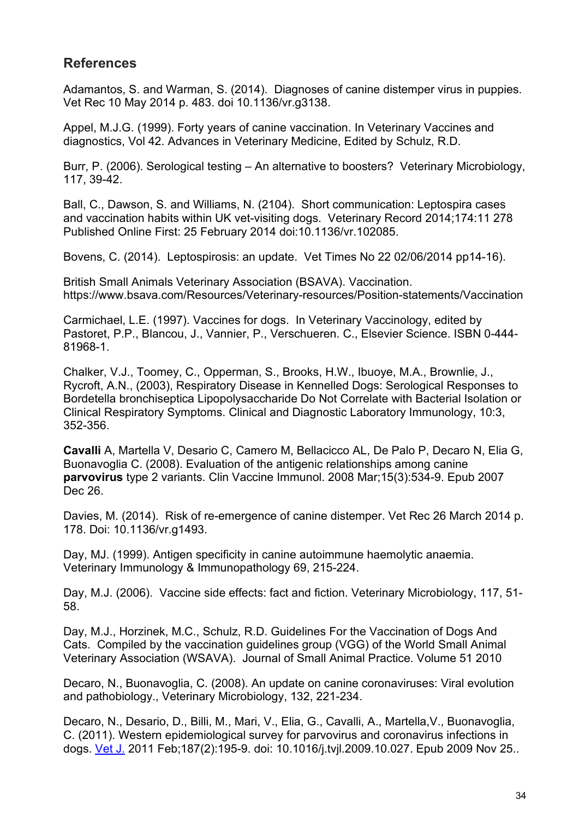## <span id="page-33-0"></span>**References**

Adamantos, S. and Warman, S. (2014). Diagnoses of canine distemper virus in puppies. Vet Rec 10 May 2014 p. 483. doi 10.1136/vr.g3138.

Appel, M.J.G. (1999). Forty years of canine vaccination. In Veterinary Vaccines and diagnostics, Vol 42. Advances in Veterinary Medicine, Edited by Schulz, R.D.

Burr, P. (2006). Serological testing – An alternative to boosters? Veterinary Microbiology, 117, 39-42.

Ball, C., Dawson, S. and Williams, N. (2104). Short communication: Leptospira cases and vaccination habits within UK vet-visiting dogs. Veterinary Record 2014;174:11 278 Published Online First: 25 February 2014 doi:10.1136/vr.102085.

Bovens, C. (2014). Leptospirosis: an update. Vet Times No 22 02/06/2014 pp14-16).

British Small Animals Veterinary Association (BSAVA). Vaccination. https://www.bsava.com/Resources/Veterinary-resources/Position-statements/Vaccination

Carmichael, L.E. (1997). Vaccines for dogs. In Veterinary Vaccinology, edited by Pastoret, P.P., Blancou, J., Vannier, P., Verschueren. C., Elsevier Science. ISBN 0-444- 81968-1.

Chalker, V.J., Toomey, C., Opperman, S., Brooks, H.W., Ibuoye, M.A., Brownlie, J., Rycroft, A.N., (2003), Respiratory Disease in Kennelled Dogs: Serological Responses to Bordetella bronchiseptica Lipopolysaccharide Do Not Correlate with Bacterial Isolation or Clinical Respiratory Symptoms. Clinical and Diagnostic Laboratory Immunology, 10:3, 352-356.

**Cavalli** A, Martella V, Desario C, Camero M, Bellacicco AL, De Palo P, Decaro N, Elia G, Buonavoglia C. (2008). [Evaluation of the antigenic relationships among canine](http://www.ncbi.nlm.nih.gov/pubmed/18160619)  **parvovirus** [type 2 variants.](http://www.ncbi.nlm.nih.gov/pubmed/18160619) Clin Vaccine Immunol. 2008 Mar;15(3):534-9. Epub 2007 Dec 26.

Davies, M. (2014). Risk of re-emergence of canine distemper. Vet Rec 26 March 2014 p. 178. Doi: 10.1136/vr.g1493.

Day, MJ. (1999). Antigen specificity in canine autoimmune haemolytic anaemia. Veterinary Immunology & Immunopathology 69, 215-224.

Day, M.J. (2006). Vaccine side effects: fact and fiction. Veterinary Microbiology, 117, 51- 58.

Day, M.J., Horzinek, M.C., Schulz, R.D. Guidelines For the Vaccination of Dogs And Cats. Compiled by the vaccination guidelines group (VGG) of the World Small Animal Veterinary Association (WSAVA). Journal of Small Animal Practice. Volume 51 2010

Decaro, N., Buonavoglia, C. (2008). An update on canine coronaviruses: Viral evolution and pathobiology., Veterinary Microbiology, 132, 221-234.

Decaro, N., Desario, D., Billi, M., Mari, V., Elia, G., Cavalli, A., Martella,V., Buonavoglia, C. (2011). Western epidemiological survey for parvovirus and coronavirus infections in dogs. [Vet J.](http://www.ncbi.nlm.nih.gov/pubmed/19932978) 2011 Feb;187(2):195-9. doi: 10.1016/j.tvjl.2009.10.027. Epub 2009 Nov 25..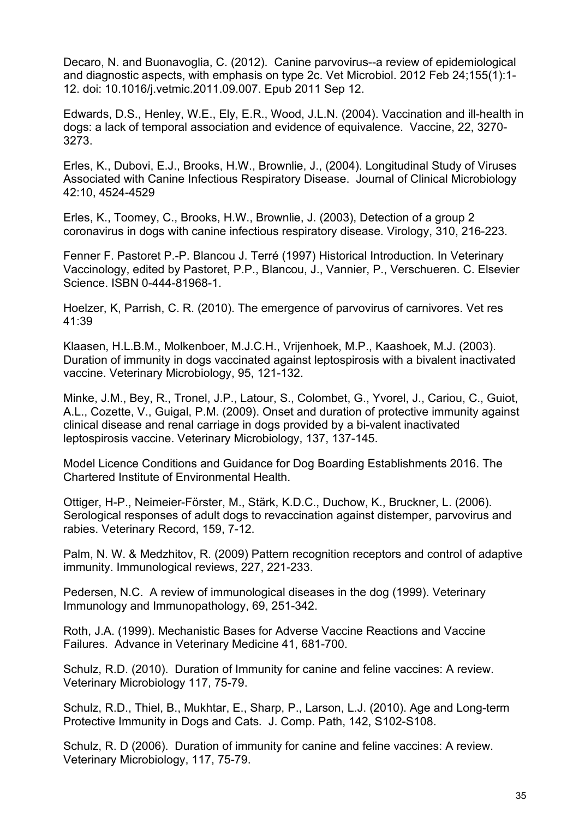Decaro, N. and Buonavoglia, C. (2012). [Canine parvovirus--a review of epidemiological](http://www.ncbi.nlm.nih.gov/pubmed/21962408)  [and diagnostic aspects, with emphasis on type 2c.](http://www.ncbi.nlm.nih.gov/pubmed/21962408) Vet Microbiol. 2012 Feb 24;155(1):1- 12. doi: 10.1016/j.vetmic.2011.09.007. Epub 2011 Sep 12.

Edwards, D.S., Henley, W.E., Ely, E.R., Wood, J.L.N. (2004). Vaccination and ill-health in dogs: a lack of temporal association and evidence of equivalence. Vaccine, 22, 3270- 3273.

Erles, K., Dubovi, E.J., Brooks, H.W., Brownlie, J., (2004). Longitudinal Study of Viruses Associated with Canine Infectious Respiratory Disease. Journal of Clinical Microbiology 42:10, 4524-4529

Erles, K., Toomey, C., Brooks, H.W., Brownlie, J. (2003), Detection of a group 2 coronavirus in dogs with canine infectious respiratory disease*.* Virology, 310, 216-223.

Fenner F. Pastoret P.-P. Blancou J. Terré (1997) Historical Introduction. In Veterinary Vaccinology, edited by Pastoret, P.P., Blancou, J., Vannier, P., Verschueren. C. Elsevier Science. ISBN 0-444-81968-1.

Hoelzer, K, Parrish, C. R. (2010). The emergence of parvovirus of carnivores. Vet res 41:39

Klaasen, H.L.B.M., Molkenboer, M.J.C.H., Vrijenhoek, M.P., Kaashoek, M.J. (2003). Duration of immunity in dogs vaccinated against leptospirosis with a bivalent inactivated vaccine. Veterinary Microbiology, 95, 121-132.

Minke, J.M., Bey, R., Tronel, J.P., Latour, S., Colombet, G., Yvorel, J., Cariou, C., Guiot, A.L., Cozette, V., Guigal, P.M. (2009). Onset and duration of protective immunity against clinical disease and renal carriage in dogs provided by a bi-valent inactivated leptospirosis vaccine. Veterinary Microbiology, 137, 137-145.

Model Licence Conditions and Guidance for Dog Boarding Establishments 2016. The Chartered Institute of Environmental Health.

Ottiger, H-P., Neimeier-Förster, M., Stärk, K.D.C., Duchow, K., Bruckner, L. (2006). Serological responses of adult dogs to revaccination against distemper, parvovirus and rabies. Veterinary Record, 159, 7-12.

Palm, N. W. & Medzhitov, R. (2009) Pattern recognition receptors and control of adaptive immunity. Immunological reviews, 227, 221-233.

Pedersen, N.C. A review of immunological diseases in the dog (1999). Veterinary Immunology and Immunopathology, 69, 251-342.

Roth, J.A. (1999). Mechanistic Bases for Adverse Vaccine Reactions and Vaccine Failures. Advance in Veterinary Medicine 41, 681-700.

Schulz, R.D. (2010). Duration of Immunity for canine and feline vaccines: A review. Veterinary Microbiology 117, 75-79.

Schulz, R.D., Thiel, B., Mukhtar, E., Sharp, P., Larson, L.J. (2010). Age and Long-term Protective Immunity in Dogs and Cats. J. Comp. Path, 142, S102-S108.

Schulz, R. D (2006). Duration of immunity for canine and feline vaccines: A review. Veterinary Microbiology, 117, 75-79.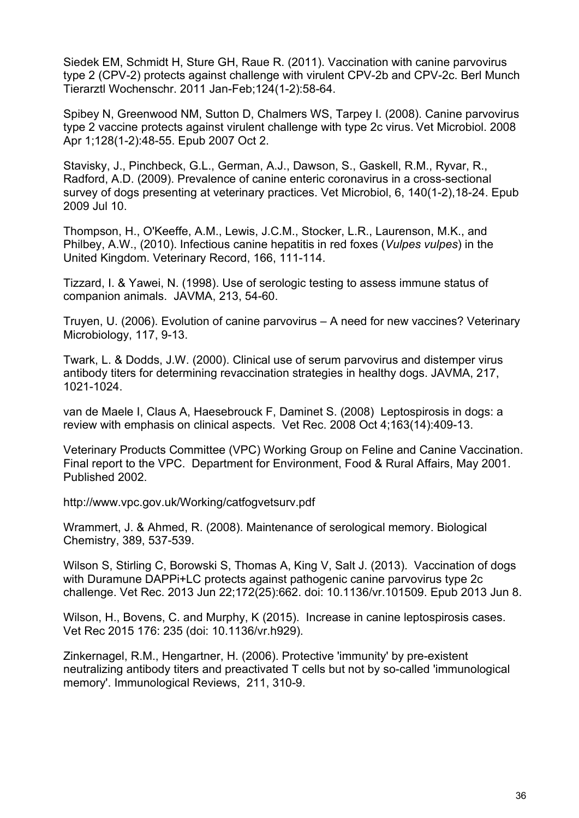[Siedek EM,](http://www.ncbi.nlm.nih.gov/pubmed?term=Siedek%20EM%5BAuthor%5D&cauthor=true&cauthor_uid=21306055) [Schmidt H,](http://www.ncbi.nlm.nih.gov/pubmed?term=Schmidt%20H%5BAuthor%5D&cauthor=true&cauthor_uid=21306055) [Sture GH,](http://www.ncbi.nlm.nih.gov/pubmed?term=Sture%20GH%5BAuthor%5D&cauthor=true&cauthor_uid=21306055) [Raue R.](http://www.ncbi.nlm.nih.gov/pubmed?term=Raue%20R%5BAuthor%5D&cauthor=true&cauthor_uid=21306055) (2011). Vaccination with canine parvovirus type 2 (CPV-2) protects against challenge with virulent CPV-2b and CPV-2c. [Berl Munch](http://www.ncbi.nlm.nih.gov/pubmed?term=(Siedek%5BAuthor%5D)%20AND%20parvovirus%5BTitle%2FAbstract%5D)  [Tierarztl Wochenschr.](http://www.ncbi.nlm.nih.gov/pubmed?term=(Siedek%5BAuthor%5D)%20AND%20parvovirus%5BTitle%2FAbstract%5D) 2011 Jan-Feb;124(1-2):58-64.

Spibey N, Greenwood NM, Sutton D, Chalmers WS, Tarpey I. (2008). [Canine parvovirus](http://www.ncbi.nlm.nih.gov/pubmed/18006253) [type 2 vaccine protects against virulent challenge with type 2c virus.](http://www.ncbi.nlm.nih.gov/pubmed/18006253) Vet Microbiol. 2008 Apr 1;128(1-2):48-55. Epub 2007 Oct 2.

[Stavisky, J.](http://www.ncbi.nlm.nih.gov/pubmed?term=%22Stavisky%20J%22%5BAuthor%5D), [Pinchbeck, G.L.](http://www.ncbi.nlm.nih.gov/pubmed?term=%22Pinchbeck%20GL%22%5BAuthor%5D), [German, A.J.](http://www.ncbi.nlm.nih.gov/pubmed?term=%22German%20AJ%22%5BAuthor%5D), Dawson, S., [Gaskell, R.M.](http://www.ncbi.nlm.nih.gov/pubmed?term=%22Gaskell%20RM%22%5BAuthor%5D), [Ryvar, R.](http://www.ncbi.nlm.nih.gov/pubmed?term=%22Ryvar%20R%22%5BAuthor%5D), [Radford, A.D.](http://www.ncbi.nlm.nih.gov/pubmed?term=%22Radford%20AD%22%5BAuthor%5D) (2009). Prevalence of canine enteric coronavirus in a cross-sectional survey of dogs presenting at veterinary practices. Vet Microbiol, 6, 140(1-2),18-24. Epub 2009 Jul 10.

Thompson, H., O'Keeffe, A.M., Lewis, J.C.M., Stocker, L.R., Laurenson, M.K., and Philbey, A.W., (2010). Infectious canine hepatitis in red foxes (*Vulpes vulpes*) in the United Kingdom. Veterinary Record, 166, 111-114.

Tizzard, I. & Yawei, N. (1998). Use of serologic testing to assess immune status of companion animals. JAVMA, 213, 54-60.

Truyen, U. (2006). Evolution of canine parvovirus – A need for new vaccines? Veterinary Microbiology, 117, 9-13.

Twark, L. & Dodds, J.W. (2000). Clinical use of serum parvovirus and distemper virus antibody titers for determining revaccination strategies in healthy dogs. JAVMA, 217, 1021-1024.

[van de Maele I,](http://www.ncbi.nlm.nih.gov/pubmed?term=van%20de%20Maele%20I%5BAuthor%5D&cauthor=true&cauthor_uid=18836154) [Claus A,](http://www.ncbi.nlm.nih.gov/pubmed?term=Claus%20A%5BAuthor%5D&cauthor=true&cauthor_uid=18836154) [Haesebrouck F,](http://www.ncbi.nlm.nih.gov/pubmed?term=Haesebrouck%20F%5BAuthor%5D&cauthor=true&cauthor_uid=18836154) [Daminet S.](http://www.ncbi.nlm.nih.gov/pubmed?term=Daminet%20S%5BAuthor%5D&cauthor=true&cauthor_uid=18836154) (2008) Leptospirosis in dogs: a review with emphasis on clinical aspects. [Vet Rec.](http://www.ncbi.nlm.nih.gov/pubmed/18836154) 2008 Oct 4;163(14):409-13.

Veterinary Products Committee (VPC) Working Group on Feline and Canine Vaccination. Final report to the VPC. Department for Environment, Food & Rural Affairs, May 2001. Published 2002.

http://www.vpc.gov.uk/Working/catfogvetsurv.pdf

Wrammert, J. & Ahmed, R. (2008). Maintenance of serological memory. Biological Chemistry, 389, 537-539.

[Wilson S,](http://www.ncbi.nlm.nih.gov/pubmed?term=Wilson%20S%5BAuthor%5D&cauthor=true&cauthor_uid=23748583) [Stirling C,](http://www.ncbi.nlm.nih.gov/pubmed?term=Stirling%20C%5BAuthor%5D&cauthor=true&cauthor_uid=23748583) [Borowski S,](http://www.ncbi.nlm.nih.gov/pubmed?term=Borowski%20S%5BAuthor%5D&cauthor=true&cauthor_uid=23748583) [Thomas A,](http://www.ncbi.nlm.nih.gov/pubmed?term=Thomas%20A%5BAuthor%5D&cauthor=true&cauthor_uid=23748583) [King V,](http://www.ncbi.nlm.nih.gov/pubmed?term=King%20V%5BAuthor%5D&cauthor=true&cauthor_uid=23748583) [Salt J.](http://www.ncbi.nlm.nih.gov/pubmed?term=Salt%20J%5BAuthor%5D&cauthor=true&cauthor_uid=23748583) (2013). Vaccination of dogs with Duramune DAPPi+LC protects against pathogenic canine parvovirus type 2c challenge. [Vet Rec.](http://www.ncbi.nlm.nih.gov/pubmed?term=(parvovirus%5BTitle%2FAbstract%5D)%20AND%20duramune) 2013 Jun 22;172(25):662. doi: 10.1136/vr.101509. Epub 2013 Jun 8.

Wilson, H., Bovens, C. and Murphy, K (2015). Increase in canine leptospirosis cases. Vet Rec 2015 176: 235 (doi: 10.1136/vr.h929).

Zinkernagel, R.M., Hengartner, H. (2006). Protective 'immunity' by pre-existent neutralizing antibody titers and preactivated T cells but not by so-called 'immunological memory'. Immunological Reviews, 211, 310-9.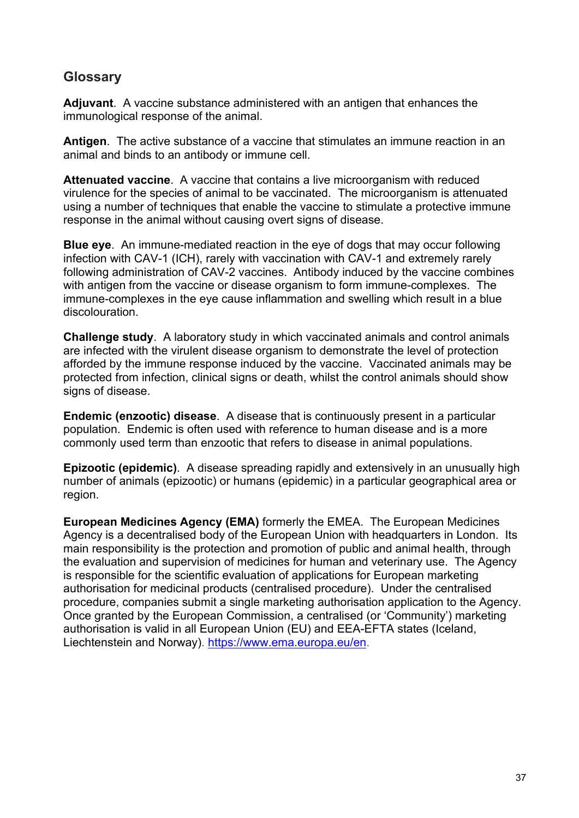## <span id="page-36-0"></span>**Glossary**

**Adjuvant**. A vaccine substance administered with an antigen that enhances the immunological response of the animal.

**Antigen**. The active substance of a vaccine that stimulates an immune reaction in an animal and binds to an antibody or immune cell.

**Attenuated vaccine**. A vaccine that contains a live microorganism with reduced virulence for the species of animal to be vaccinated. The microorganism is attenuated using a number of techniques that enable the vaccine to stimulate a protective immune response in the animal without causing overt signs of disease.

**Blue eye**. An immune-mediated reaction in the eye of dogs that may occur following infection with CAV-1 (ICH), rarely with vaccination with CAV-1 and extremely rarely following administration of CAV-2 vaccines. Antibody induced by the vaccine combines with antigen from the vaccine or disease organism to form immune-complexes. The immune-complexes in the eye cause inflammation and swelling which result in a blue discolouration.

**Challenge study**. A laboratory study in which vaccinated animals and control animals are infected with the virulent disease organism to demonstrate the level of protection afforded by the immune response induced by the vaccine. Vaccinated animals may be protected from infection, clinical signs or death, whilst the control animals should show signs of disease.

**Endemic (enzootic) disease**. A disease that is continuously present in a particular population. Endemic is often used with reference to human disease and is a more commonly used term than enzootic that refers to disease in animal populations.

**Epizootic (epidemic)**. A disease spreading rapidly and extensively in an unusually high number of animals (epizootic) or humans (epidemic) in a particular geographical area or region.

**European Medicines Agency (EMA)** formerly the EMEA. The European Medicines Agency is a decentralised body of the European Union with headquarters in London. Its main responsibility is the protection and promotion of public and animal health, through the evaluation and supervision of medicines for human and veterinary use. The Agency is responsible for the scientific evaluation of applications for European marketing authorisation for medicinal products (centralised procedure). Under the centralised procedure, companies submit a single marketing authorisation application to the Agency. Once granted by the European Commission, a centralised (or 'Community') marketing authorisation is valid in all European Union (EU) and EEA-EFTA states (Iceland, Liechtenstein and Norway). [https://www.ema.europa.eu/en.](https://www.ema.europa.eu/en)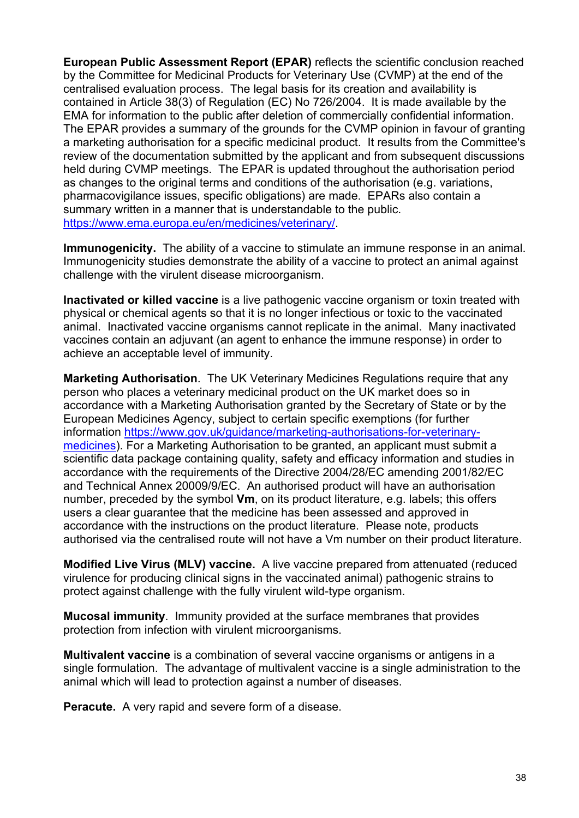**European Public Assessment Report (EPAR)** reflects the scientific conclusion reached by the Committee for Medicinal Products for Veterinary Use (CVMP) at the end of the centralised evaluation process. The legal basis for its creation and availability is contained in Article 38(3) of Regulation (EC) No 726/2004. It is made available by the EMA for information to the public after deletion of commercially confidential information. The EPAR provides a summary of the grounds for the CVMP opinion in favour of granting a marketing authorisation for a specific medicinal product. It results from the Committee's review of the documentation submitted by the applicant and from subsequent discussions held during CVMP meetings. The EPAR is updated throughout the authorisation period as changes to the original terms and conditions of the authorisation (e.g. variations, pharmacovigilance issues, specific obligations) are made. EPARs also contain a summary written in a manner that is understandable to the public. [https://www.ema.europa.eu/en/medicines/veterinary/.](https://www.ema.europa.eu/en/medicines/veterinary/)

**Immunogenicity.** The ability of a vaccine to stimulate an immune response in an animal. Immunogenicity studies demonstrate the ability of a vaccine to protect an animal against challenge with the virulent disease microorganism.

**Inactivated or killed vaccine** is a live pathogenic vaccine organism or toxin treated with physical or chemical agents so that it is no longer infectious or toxic to the vaccinated animal. Inactivated vaccine organisms cannot replicate in the animal. Many inactivated vaccines contain an adjuvant (an agent to enhance the immune response) in order to achieve an acceptable level of immunity.

**Marketing Authorisation**. The UK Veterinary Medicines Regulations require that any person who places a veterinary medicinal product on the UK market does so in accordance with a Marketing Authorisation granted by the Secretary of State or by the European Medicines Agency, subject to certain specific exemptions (for further information [https://www.gov.uk/guidance/marketing-authorisations-for-veterinary](https://www.gov.uk/guidance/marketing-authorisations-for-veterinary-medicines)[medicines\)](https://www.gov.uk/guidance/marketing-authorisations-for-veterinary-medicines). For a Marketing Authorisation to be granted, an applicant must submit a scientific data package containing quality, safety and efficacy information and studies in accordance with the requirements of the Directive 2004/28/EC amending 2001/82/EC and Technical Annex 20009/9/EC. An authorised product will have an authorisation number, preceded by the symbol **Vm**, on its product literature, e.g. labels; this offers users a clear guarantee that the medicine has been assessed and approved in accordance with the instructions on the product literature. Please note, products authorised via the centralised route will not have a Vm number on their product literature.

**Modified Live Virus (MLV) vaccine.** A live vaccine prepared from attenuated (reduced virulence for producing clinical signs in the vaccinated animal) pathogenic strains to protect against challenge with the fully virulent wild-type organism.

**Mucosal immunity**. Immunity provided at the surface membranes that provides protection from infection with virulent microorganisms.

**Multivalent vaccine** is a combination of several vaccine organisms or antigens in a single formulation. The advantage of multivalent vaccine is a single administration to the animal which will lead to protection against a number of diseases.

**Peracute.** A very rapid and severe form of a disease.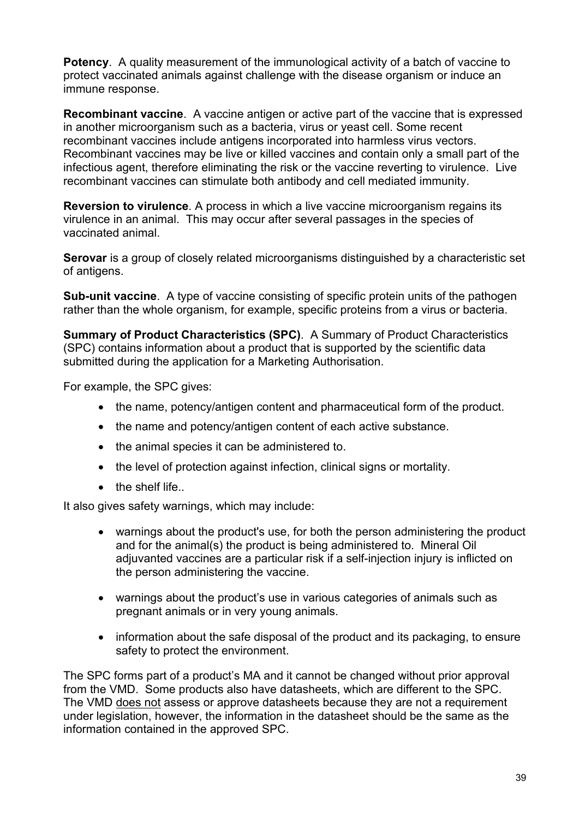**Potency.** A quality measurement of the immunological activity of a batch of vaccine to protect vaccinated animals against challenge with the disease organism or induce an immune response.

**Recombinant vaccine**. A vaccine antigen or active part of the vaccine that is expressed in another microorganism such as a bacteria, virus or yeast cell. Some recent recombinant vaccines include antigens incorporated into harmless virus vectors. Recombinant vaccines may be live or killed vaccines and contain only a small part of the infectious agent, therefore eliminating the risk or the vaccine reverting to virulence. Live recombinant vaccines can stimulate both antibody and cell mediated immunity.

**Reversion to virulence**. A process in which a live vaccine microorganism regains its virulence in an animal. This may occur after several passages in the species of vaccinated animal.

**Serovar** is a group of closely related microorganisms distinguished by a characteristic set of antigens.

**Sub-unit vaccine**. A type of vaccine consisting of specific protein units of the pathogen rather than the whole organism, for example, specific proteins from a virus or bacteria.

**Summary of Product Characteristics (SPC)**. A Summary of Product Characteristics (SPC) contains information about a product that is supported by the scientific data submitted during the application for a Marketing Authorisation.

For example, the SPC gives:

- the name, potency/antigen content and pharmaceutical form of the product.
- the name and potency/antigen content of each active substance.
- the animal species it can be administered to.
- the level of protection against infection, clinical signs or mortality.
- the shelf life..

It also gives safety warnings, which may include:

- warnings about the product's use, for both the person administering the product and for the animal(s) the product is being administered to. Mineral Oil adjuvanted vaccines are a particular risk if a self-injection injury is inflicted on the person administering the vaccine.
- warnings about the product's use in various categories of animals such as pregnant animals or in very young animals.
- information about the safe disposal of the product and its packaging, to ensure safety to protect the environment.

The SPC forms part of a product's MA and it cannot be changed without prior approval from the VMD. Some products also have datasheets, which are different to the SPC. The VMD does not assess or approve datasheets because they are not a requirement under legislation, however, the information in the datasheet should be the same as the information contained in the approved SPC.